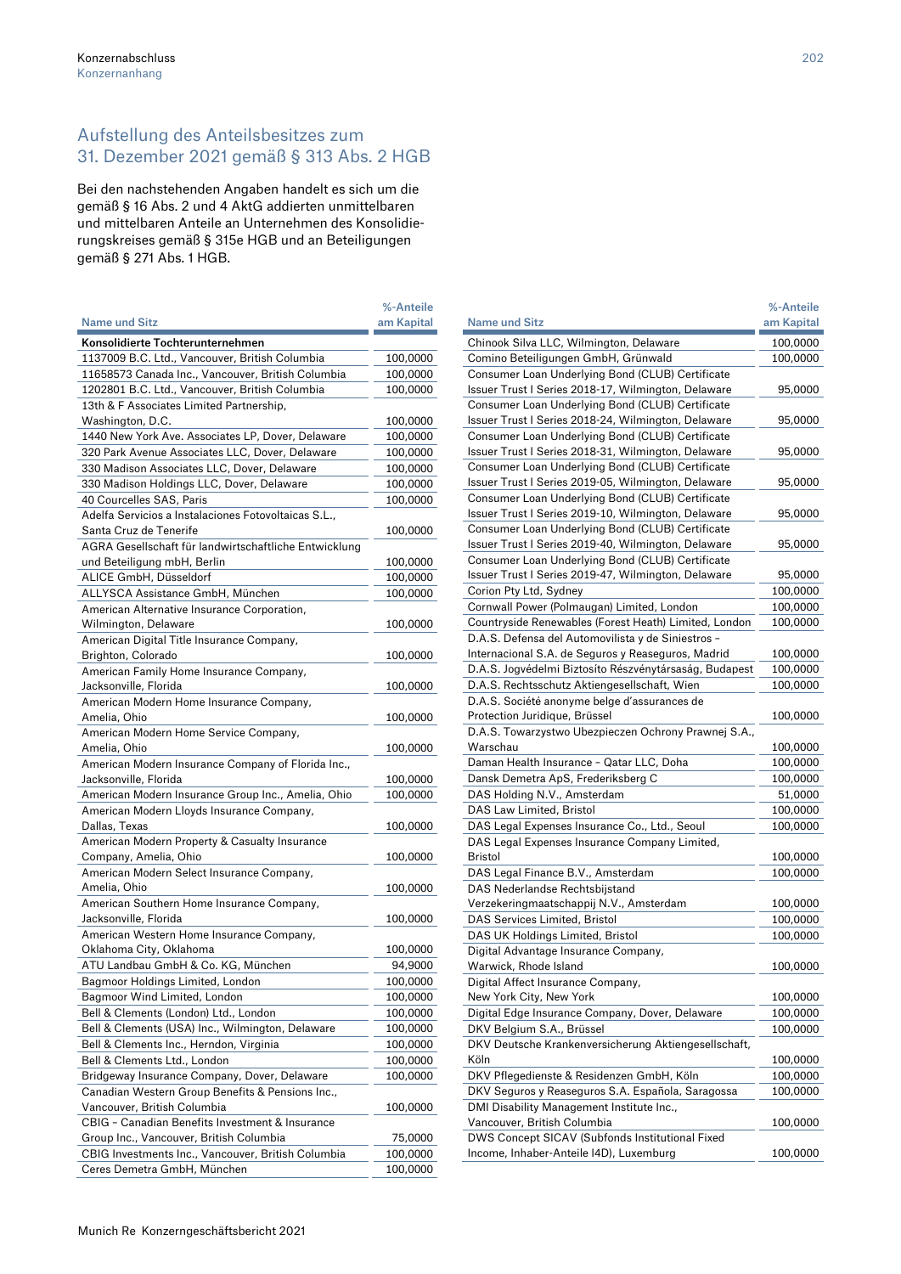## Aufstellung des Anteilsbesitzes zum 31. Dezember 2021 gemäß § 313 Abs. 2 HGB

Bei den nachstehenden Angaben handelt es sich um die gemäß § 16 Abs. 2 und 4 AktG addierten unmittelbaren und mittelbaren Anteile an Unternehmen des Konsolidierungskreises gemäß § 315e HGB und an Beteiligungen gemäß § 271 Abs. 1 HGB.

|                                                       | %-Anteile  |
|-------------------------------------------------------|------------|
| <b>Name und Sitz</b>                                  | am Kapital |
| Konsolidierte Tochterunternehmen                      |            |
| 1137009 B.C. Ltd., Vancouver, British Columbia        | 100,0000   |
| 11658573 Canada Inc., Vancouver, British Columbia     | 100,0000   |
| 1202801 B.C. Ltd., Vancouver, British Columbia        | 100,0000   |
| 13th & F Associates Limited Partnership,              |            |
| Washington, D.C.                                      | 100,0000   |
| 1440 New York Ave. Associates LP, Dover, Delaware     | 100,0000   |
| 320 Park Avenue Associates LLC, Dover, Delaware       | 100,0000   |
| 330 Madison Associates LLC, Dover, Delaware           | 100,0000   |
| 330 Madison Holdings LLC, Dover, Delaware             | 100,0000   |
| 40 Courcelles SAS, Paris                              | 100,0000   |
| Adelfa Servicios a Instalaciones Fotovoltaicas S.L    |            |
| Santa Cruz de Tenerife                                | 100,0000   |
| AGRA Gesellschaft für landwirtschaftliche Entwicklung |            |
| und Beteiligung mbH, Berlin                           | 100,0000   |
| ALICE GmbH, Düsseldorf                                | 100,0000   |
| ALLYSCA Assistance GmbH, München                      | 100,0000   |
| American Alternative Insurance Corporation,           |            |
| Wilmington, Delaware                                  | 100,0000   |
| American Digital Title Insurance Company,             |            |
| Brighton, Colorado                                    |            |
| American Family Home Insurance Company,               | 100,0000   |
| Jacksonville, Florida                                 | 100,0000   |
| American Modern Home Insurance Company,               |            |
| Amelia, Ohio                                          | 100,0000   |
| American Modern Home Service Company,                 |            |
| Amelia, Ohio                                          | 100,0000   |
| American Modern Insurance Company of Florida Inc.,    |            |
| Jacksonville, Florida                                 | 100,0000   |
| American Modern Insurance Group Inc., Amelia, Ohio    | 100,0000   |
| American Modern Lloyds Insurance Company,             |            |
| Dallas, Texas                                         | 100,0000   |
| American Modern Property & Casualty Insurance         |            |
| Company, Amelia, Ohio                                 | 100,0000   |
| American Modern Select Insurance Company,             |            |
| Amelia, Ohio                                          | 100,0000   |
| American Southern Home Insurance Company,             |            |
| Jacksonville, Florida                                 | 100,0000   |
| American Western Home Insurance Company,              |            |
| Oklahoma City, Oklahoma                               | 100,0000   |
| ATU Landbau GmbH & Co. KG, München                    | 94,9000    |
| Bagmoor Holdings Limited, London                      | 100,0000   |
| Bagmoor Wind Limited, London                          | 100,0000   |
| Bell & Clements (London) Ltd., London                 | 100,0000   |
| Bell & Clements (USA) Inc., Wilmington, Delaware      | 100,0000   |
| Bell & Clements Inc., Herndon, Virginia               | 100,0000   |
| Bell & Clements Ltd., London                          | 100,0000   |
| Bridgeway Insurance Company, Dover, Delaware          | 100,0000   |
| Canadian Western Group Benefits & Pensions Inc.,      |            |
| Vancouver, British Columbia                           | 100,0000   |
| CBIG - Canadian Benefits Investment & Insurance       |            |
| Group Inc., Vancouver, British Columbia               | 75,0000    |
| CBIG Investments Inc., Vancouver, British Columbia    | 100,0000   |
| Ceres Demetra GmbH, München                           | 100,0000   |
|                                                       |            |

|                                                                                                         | %-Anteile            |
|---------------------------------------------------------------------------------------------------------|----------------------|
| <b>Name und Sitz</b>                                                                                    | am Kapital           |
| Chinook Silva LLC, Wilmington, Delaware                                                                 | 100,0000             |
| Comino Beteiligungen GmbH, Grünwald                                                                     | 100,0000             |
| Consumer Loan Underlying Bond (CLUB) Certificate                                                        |                      |
| Issuer Trust I Series 2018-17, Wilmington, Delaware                                                     | 95,0000              |
| Consumer Loan Underlying Bond (CLUB) Certificate                                                        |                      |
| Issuer Trust I Series 2018-24, Wilmington, Delaware                                                     | 95,0000              |
| Consumer Loan Underlying Bond (CLUB) Certificate                                                        |                      |
| Issuer Trust I Series 2018-31, Wilmington, Delaware                                                     | 95,0000              |
| Consumer Loan Underlying Bond (CLUB) Certificate                                                        |                      |
| Issuer Trust I Series 2019-05, Wilmington, Delaware                                                     | 95,0000              |
| Consumer Loan Underlying Bond (CLUB) Certificate                                                        |                      |
| Issuer Trust I Series 2019-10, Wilmington, Delaware                                                     | 95,0000              |
| Consumer Loan Underlying Bond (CLUB) Certificate                                                        |                      |
| Issuer Trust I Series 2019-40, Wilmington, Delaware                                                     | 95,0000              |
| Consumer Loan Underlying Bond (CLUB) Certificate<br>Issuer Trust I Series 2019-47, Wilmington, Delaware |                      |
| Corion Pty Ltd, Sydney                                                                                  | 95,0000              |
| Cornwall Power (Polmaugan) Limited, London                                                              | 100,0000<br>100,0000 |
| Countryside Renewables (Forest Heath) Limited, London                                                   | 100,0000             |
| D.A.S. Defensa del Automovilista y de Siniestros -                                                      |                      |
| Internacional S.A. de Seguros y Reaseguros, Madrid                                                      | 100,0000             |
| D.A.S. Jogvédelmi Biztosíto Részvénytársaság, Budapest                                                  | 100,0000             |
| D.A.S. Rechtsschutz Aktiengesellschaft, Wien                                                            | 100,0000             |
| D.A.S. Société anonyme belge d'assurances de                                                            |                      |
| Protection Juridique, Brüssel                                                                           | 100,0000             |
| D.A.S. Towarzystwo Ubezpieczen Ochrony Prawnej S.A.,                                                    |                      |
| Warschau                                                                                                | 100,0000             |
| Daman Health Insurance - Qatar LLC, Doha                                                                | 100,0000             |
| Dansk Demetra ApS, Frederiksberg C                                                                      | 100,0000             |
| DAS Holding N.V., Amsterdam                                                                             | 51,0000              |
| DAS Law Limited, Bristol                                                                                | 100,0000             |
| DAS Legal Expenses Insurance Co., Ltd., Seoul                                                           | 100,0000             |
| DAS Legal Expenses Insurance Company Limited,                                                           |                      |
| Bristol                                                                                                 | 100,0000             |
| DAS Legal Finance B.V., Amsterdam                                                                       | 100,0000             |
| DAS Nederlandse Rechtsbijstand                                                                          |                      |
| Verzekeringmaatschappij N.V., Amsterdam                                                                 | 100,0000             |
| <b>DAS Services Limited, Bristol</b>                                                                    | 100,0000             |
| DAS UK Holdings Limited, Bristol                                                                        | 100,0000             |
| Digital Advantage Insurance Company,                                                                    |                      |
| Warwick, Rhode Island                                                                                   | 100,0000             |
| Digital Affect Insurance Company,<br>New York City, New York                                            |                      |
| Digital Edge Insurance Company, Dover, Delaware                                                         | 100,0000             |
| DKV Belgium S.A., Brüssel                                                                               | 100,0000<br>100,0000 |
| DKV Deutsche Krankenversicherung Aktiengesellschaft,                                                    |                      |
| Köln                                                                                                    | 100,0000             |
| DKV Pflegedienste & Residenzen GmbH, Köln                                                               | 100,0000             |
| DKV Seguros y Reaseguros S.A. Española, Saragossa                                                       | 100,0000             |
| DMI Disability Management Institute Inc.,                                                               |                      |
| Vancouver, British Columbia                                                                             | 100,0000             |
| DWS Concept SICAV (Subfonds Institutional Fixed                                                         |                      |
| Income, Inhaber-Anteile I4D), Luxemburg                                                                 | 100,0000             |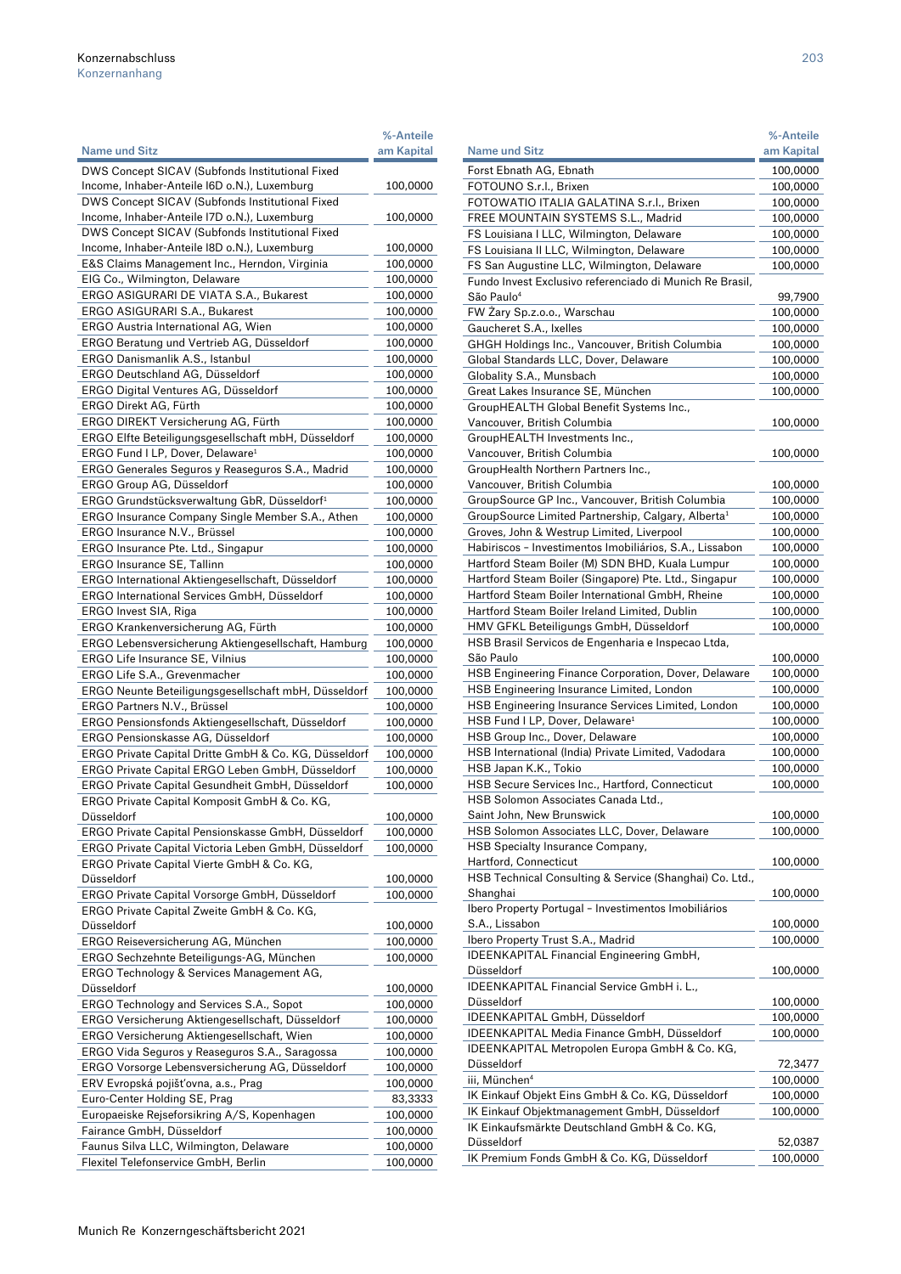|                                                         | %-Anteile  |
|---------------------------------------------------------|------------|
| <b>Name und Sitz</b>                                    | am Kapital |
| DWS Concept SICAV (Subfonds Institutional Fixed         |            |
| Income, Inhaber-Anteile I6D o.N.), Luxemburg            | 100,0000   |
| DWS Concept SICAV (Subfonds Institutional Fixed         |            |
|                                                         |            |
| Income, Inhaber-Anteile I7D o.N.), Luxemburg            | 100,0000   |
| DWS Concept SICAV (Subfonds Institutional Fixed         |            |
| Income, Inhaber-Anteile I8D o.N.), Luxemburg            | 100,0000   |
| E&S Claims Management Inc., Herndon, Virginia           | 100,0000   |
| EIG Co., Wilmington, Delaware                           | 100,0000   |
| ERGO ASIGURARI DE VIATA S.A., Bukarest                  | 100,0000   |
| ERGO ASIGURARI S.A., Bukarest                           | 100,0000   |
| ERGO Austria International AG, Wien                     | 100,0000   |
| ERGO Beratung und Vertrieb AG, Düsseldorf               | 100,0000   |
| ERGO Danismanlik A.S., Istanbul                         | 100,0000   |
| ERGO Deutschland AG, Düsseldorf                         | 100,0000   |
| ERGO Digital Ventures AG, Düsseldorf                    | 100,0000   |
| ERGO Direkt AG, Fürth                                   |            |
|                                                         | 100,0000   |
| ERGO DIREKT Versicherung AG, Fürth                      | 100,0000   |
| ERGO Elfte Beteiligungsgesellschaft mbH, Düsseldorf     | 100,0000   |
| ERGO Fund I LP, Dover, Delaware <sup>1</sup>            | 100,0000   |
| ERGO Generales Seguros y Reaseguros S.A., Madrid        | 100,0000   |
| ERGO Group AG, Düsseldorf                               | 100,0000   |
| ERGO Grundstücksverwaltung GbR, Düsseldorf <sup>1</sup> | 100,0000   |
| ERGO Insurance Company Single Member S.A., Athen        | 100,0000   |
| ERGO Insurance N.V., Brüssel                            | 100,0000   |
| ERGO Insurance Pte. Ltd., Singapur                      | 100,0000   |
| ERGO Insurance SE, Tallinn                              | 100,0000   |
| ERGO International Aktiengesellschaft, Düsseldorf       | 100,0000   |
|                                                         |            |
| ERGO International Services GmbH, Düsseldorf            | 100,0000   |
| ERGO Invest SIA, Riga                                   | 100,0000   |
| ERGO Krankenversicherung AG, Fürth                      | 100,0000   |
| ERGO Lebensversicherung Aktiengesellschaft, Hamburg     | 100,0000   |
| <b>ERGO Life Insurance SE, Vilnius</b>                  | 100,0000   |
| ERGO Life S.A., Grevenmacher                            | 100,0000   |
| ERGO Neunte Beteiligungsgesellschaft mbH, Düsseldorf    | 100,0000   |
| ERGO Partners N.V., Brüssel                             | 100,0000   |
| ERGO Pensionsfonds Aktiengesellschaft, Düsseldorf       | 100,0000   |
| ERGO Pensionskasse AG, Düsseldorf                       | 100,0000   |
| ERGO Private Capital Dritte GmbH & Co. KG, Düsseldorf   | 100,0000   |
| ERGO Private Capital ERGO Leben GmbH, Düsseldorf        | 100,0000   |
| ERGO Private Capital Gesundheit GmbH, Düsseldorf        | 100,0000   |
|                                                         |            |
| ERGO Private Capital Komposit GmbH & Co. KG,            |            |
| Düsseldorf                                              | 100,0000   |
| ERGO Private Capital Pensionskasse GmbH, Düsseldorf     | 100,0000   |
| ERGO Private Capital Victoria Leben GmbH, Düsseldorf    | 100,0000   |
| ERGO Private Capital Vierte GmbH & Co. KG,              |            |
| Düsseldorf                                              | 100,0000   |
| ERGO Private Capital Vorsorge GmbH, Düsseldorf          | 100,0000   |
| ERGO Private Capital Zweite GmbH & Co. KG,              |            |
| Düsseldorf                                              | 100,0000   |
| ERGO Reiseversicherung AG, München                      | 100,0000   |
| ERGO Sechzehnte Beteiligungs-AG, München                | 100,0000   |
| ERGO Technology & Services Management AG,               |            |
| Düsseldorf                                              | 100,0000   |
|                                                         |            |
| ERGO Technology and Services S.A., Sopot                | 100,0000   |
| ERGO Versicherung Aktiengesellschaft, Düsseldorf        | 100,0000   |
| ERGO Versicherung Aktiengesellschaft, Wien              | 100,0000   |
| ERGO Vida Seguros y Reaseguros S.A., Saragossa          | 100,0000   |
| ERGO Vorsorge Lebensversicherung AG, Düsseldorf         | 100,0000   |
| ERV Evropská pojišťovna, a.s., Prag                     | 100,0000   |
| Euro-Center Holding SE, Prag                            | 83,3333    |
| Europaeiske Rejseforsikring A/S, Kopenhagen             | 100,0000   |
| Fairance GmbH, Düsseldorf                               | 100,0000   |
| Faunus Silva LLC, Wilmington, Delaware                  | 100,0000   |
| Flexitel Telefonservice GmbH, Berlin                    | 100,0000   |
|                                                         |            |

|                                                                                                             | %-Anteile            |
|-------------------------------------------------------------------------------------------------------------|----------------------|
| Name und Sitz                                                                                               | am Kapital           |
| Forst Ebnath AG, Ebnath                                                                                     | 100,0000             |
| FOTOUNO S.r.l., Brixen                                                                                      | 100,0000             |
| FOTOWATIO ITALIA GALATINA S.r.l., Brixen                                                                    | 100,0000             |
| FREE MOUNTAIN SYSTEMS S.L., Madrid                                                                          | 100,0000             |
| FS Louisiana I LLC, Wilmington, Delaware                                                                    | 100,0000             |
| FS Louisiana II LLC, Wilmington, Delaware                                                                   | 100,0000             |
| FS San Augustine LLC, Wilmington, Delaware                                                                  | 100,0000             |
| Fundo Invest Exclusivo referenciado di Munich Re Brasil,<br>São Paulo <sup>4</sup>                          | 99,7900              |
| FW Żary Sp.z.o.o., Warschau                                                                                 | 100,0000             |
| Gaucheret S.A., Ixelles                                                                                     | 100,0000             |
| GHGH Holdings Inc., Vancouver, British Columbia                                                             | 100,0000             |
| Global Standards LLC, Dover, Delaware                                                                       | 100,0000             |
| Globality S.A., Munsbach                                                                                    | 100,0000             |
| Great Lakes Insurance SE, München                                                                           | 100,0000             |
| GroupHEALTH Global Benefit Systems Inc.,                                                                    |                      |
| Vancouver, British Columbia                                                                                 | 100,0000             |
| GroupHEALTH Investments Inc.,                                                                               |                      |
| Vancouver, British Columbia                                                                                 | 100,0000             |
| GroupHealth Northern Partners Inc.,                                                                         |                      |
| Vancouver, British Columbia                                                                                 | 100,0000             |
| GroupSource GP Inc., Vancouver, British Columbia                                                            | 100,0000             |
| GroupSource Limited Partnership, Calgary, Alberta <sup>1</sup><br>Groves, John & Westrup Limited, Liverpool | 100,0000<br>100,0000 |
| Habiriscos - Investimentos Imobiliários, S.A., Lissabon                                                     | 100,0000             |
| Hartford Steam Boiler (M) SDN BHD, Kuala Lumpur                                                             | 100,0000             |
| Hartford Steam Boiler (Singapore) Pte. Ltd., Singapur                                                       | 100,0000             |
| Hartford Steam Boiler International GmbH, Rheine                                                            | 100,0000             |
| Hartford Steam Boiler Ireland Limited, Dublin                                                               | 100,0000             |
| HMV GFKL Beteiligungs GmbH, Düsseldorf                                                                      | 100,0000             |
| HSB Brasil Servicos de Engenharia e Inspecao Ltda,                                                          |                      |
| São Paulo                                                                                                   | 100,0000             |
| HSB Engineering Finance Corporation, Dover, Delaware                                                        | 100,0000             |
| HSB Engineering Insurance Limited, London                                                                   | 100,0000             |
| HSB Engineering Insurance Services Limited, London                                                          | 100,0000             |
| HSB Fund I LP, Dover, Delaware <del>'</del>                                                                 | 100,0000             |
| HSB Group Inc., Dover, Delaware                                                                             | 100,0000             |
| HSB International (India) Private Limited, Vadodara                                                         | 100,0000             |
| HSB Japan K.K., Tokio                                                                                       | 100,0000             |
| HSB Secure Services Inc., Hartford, Connecticut<br>HSB Solomon Associates Canada Ltd.,                      | 100,0000             |
| Saint John, New Brunswick                                                                                   | 100,0000             |
| HSB Solomon Associates LLC, Dover, Delaware                                                                 | 100,0000             |
| HSB Specialty Insurance Company,                                                                            |                      |
| Hartford, Connecticut                                                                                       | 100,0000             |
| HSB Technical Consulting & Service (Shanghai) Co. Ltd.,                                                     |                      |
| Shanghai                                                                                                    | 100,0000             |
| Ibero Property Portugal - Investimentos Imobiliários                                                        |                      |
| S.A., Lissabon                                                                                              | 100,0000             |
| Ibero Property Trust S.A., Madrid                                                                           | 100,0000             |
| <b>IDEENKAPITAL Financial Engineering GmbH,</b><br>Düsseldorf                                               |                      |
| <b>IDEENKAPITAL Financial Service GmbH i. L.,</b>                                                           | 100,0000             |
| Düsseldorf                                                                                                  | 100,0000             |
| IDEENKAPITAL GmbH, Düsseldorf                                                                               | 100,0000             |
| IDEENKAPITAL Media Finance GmbH, Düsseldorf                                                                 | 100,0000             |
| IDEENKAPITAL Metropolen Europa GmbH & Co. KG,                                                               |                      |
| Düsseldorf                                                                                                  | 72,3477              |
| iii, München <sup>4</sup>                                                                                   | 100,0000             |
| IK Einkauf Objekt Eins GmbH & Co. KG, Düsseldorf                                                            | 100,0000             |
| IK Einkauf Objektmanagement GmbH, Düsseldorf                                                                | 100,0000             |
| IK Einkaufsmärkte Deutschland GmbH & Co. KG,                                                                |                      |
| Düsseldorf                                                                                                  | 52,0387              |
| IK Premium Fonds GmbH & Co. KG, Düsseldorf                                                                  | 100,0000             |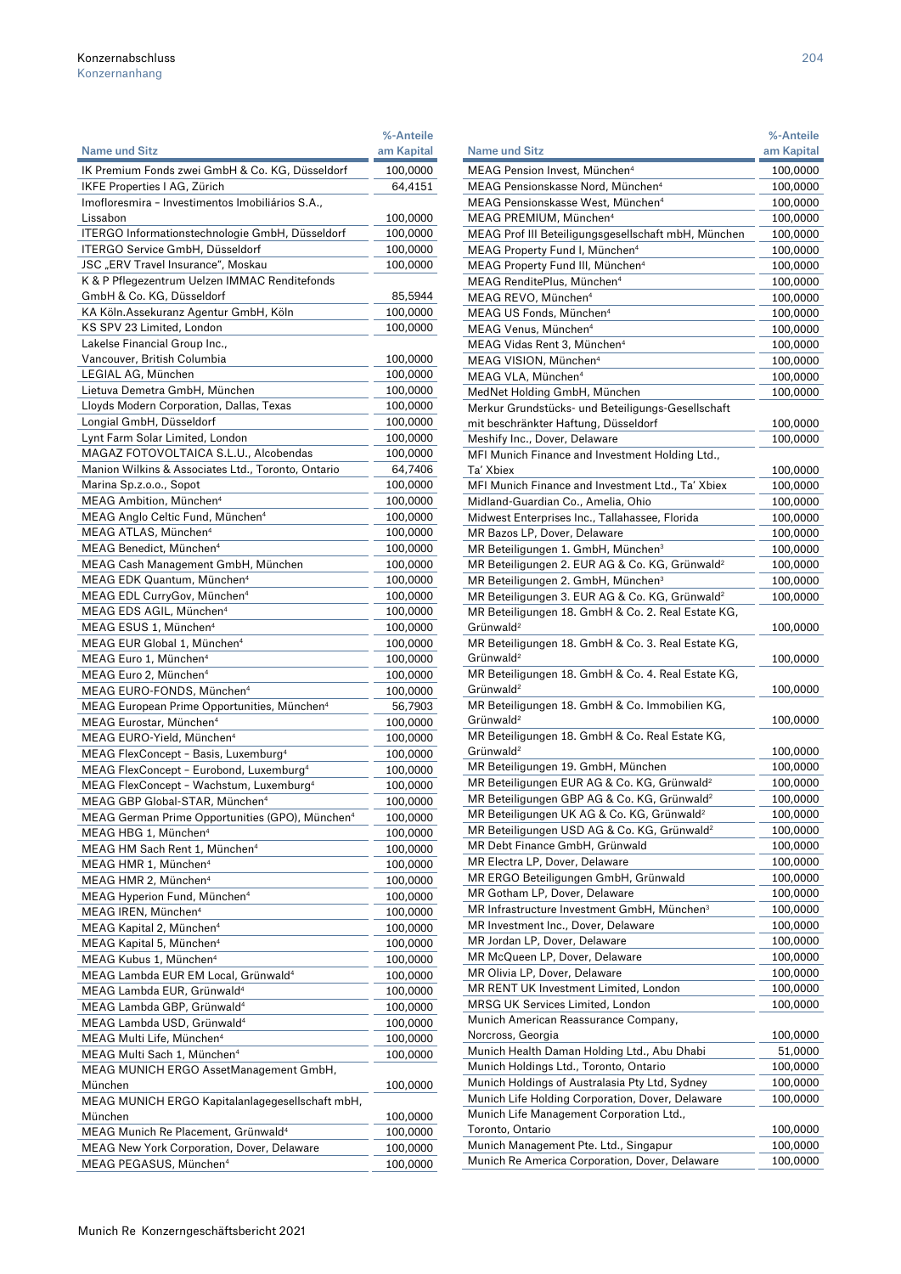|                                                             | %-Anteile  |
|-------------------------------------------------------------|------------|
| <b>Name und Sitz</b>                                        | am Kapital |
| IK Premium Fonds zwei GmbH & Co. KG, Düsseldorf             | 100,0000   |
| IKFE Properties I AG, Zürich                                | 64,4151    |
| Imofloresmira - Investimentos Imobiliários S.A.,            |            |
| Lissabon                                                    | 100,0000   |
| ITERGO Informationstechnologie GmbH, Düsseldorf             | 100,0000   |
| ITERGO Service GmbH, Düsseldorf                             | 100,0000   |
| JSC "ERV Travel Insurance", Moskau                          | 100,0000   |
| K & P Pflegezentrum Uelzen IMMAC Renditefonds               |            |
| GmbH & Co. KG, Düsseldorf                                   | 85,5944    |
| KA Köln. Assekuranz Agentur GmbH, Köln                      | 100,0000   |
| KS SPV 23 Limited, London                                   | 100,0000   |
| Lakelse Financial Group Inc.,                               |            |
| Vancouver, British Columbia                                 | 100,0000   |
| LEGIAL AG, München                                          | 100,0000   |
| Lietuva Demetra GmbH, München                               | 100,0000   |
| Lloyds Modern Corporation, Dallas, Texas                    | 100,0000   |
| Longial GmbH, Düsseldorf                                    | 100,0000   |
| Lynt Farm Solar Limited, London                             |            |
|                                                             | 100,0000   |
| MAGAZ FOTOVOLTAICA S.L.U., Alcobendas                       | 100,0000   |
| Manion Wilkins & Associates Ltd., Toronto, Ontario          | 64,7406    |
| Marina Sp.z.o.o., Sopot                                     | 100,0000   |
| MEAG Ambition, München <sup>4</sup>                         | 100,0000   |
| MEAG Anglo Celtic Fund, München <sup>4</sup>                | 100,0000   |
| MEAG ATLAS, München <sup>4</sup>                            | 100,0000   |
| MEAG Benedict, München <sup>4</sup>                         | 100,0000   |
| MEAG Cash Management GmbH, München                          | 100,0000   |
| MEAG EDK Quantum, München <sup>4</sup>                      | 100,0000   |
| MEAG EDL CurryGov, München <sup>4</sup>                     | 100,0000   |
| MEAG EDS AGIL, München <sup>4</sup>                         | 100,0000   |
| MEAG ESUS 1, München <sup>4</sup>                           | 100,0000   |
| MEAG EUR Global 1, München <sup>4</sup>                     | 100,0000   |
| MEAG Euro 1, München <sup>4</sup>                           | 100,0000   |
| MEAG Euro 2, München <sup>4</sup>                           | 100,0000   |
| MEAG EURO-FONDS, München <sup>4</sup>                       | 100,0000   |
| MEAG European Prime Opportunities, München <sup>4</sup>     | 56,7903    |
| MEAG Eurostar, München <sup>4</sup>                         | 100,0000   |
| MEAG EURO-Yield, München <sup>4</sup>                       | 100,0000   |
| MEAG FlexConcept - Basis, Luxemburg <sup>4</sup>            | 100,0000   |
| MEAG FlexConcept - Eurobond, Luxemburg <sup>4</sup>         | 100,0000   |
| MEAG FlexConcept - Wachstum, Luxemburg <sup>4</sup>         | 100,0000   |
| MEAG GBP Global-STAR, München <sup>4</sup>                  | 100,0000   |
| MEAG German Prime Opportunities (GPO), München <sup>4</sup> | 100,0000   |
| MEAG HBG 1, München <sup>4</sup>                            | 100,0000   |
| MEAG HM Sach Rent 1, München <sup>4</sup>                   | 100,0000   |
| MEAG HMR 1, München <sup>4</sup>                            | 100,0000   |
| MEAG HMR 2, München <sup>4</sup>                            | 100,0000   |
| MEAG Hyperion Fund, München <sup>4</sup>                    | 100,0000   |
| MEAG IREN, München <sup>4</sup>                             | 100,0000   |
| MEAG Kapital 2, München <sup>4</sup>                        | 100,0000   |
| MEAG Kapital 5, München <sup>4</sup>                        | 100,0000   |
| MEAG Kubus 1, München <sup>4</sup>                          | 100,0000   |
| MEAG Lambda EUR EM Local, Grünwald <sup>4</sup>             | 100,0000   |
| MEAG Lambda EUR, Grünwald <sup>4</sup>                      | 100,0000   |
| MEAG Lambda GBP, Grünwald <sup>4</sup>                      | 100,0000   |
| MEAG Lambda USD, Grünwald <sup>4</sup>                      |            |
|                                                             | 100,0000   |
| MEAG Multi Life, München <sup>4</sup>                       | 100,0000   |
| MEAG Multi Sach 1, München <sup>4</sup>                     | 100,0000   |
| MEAG MUNICH ERGO AssetManagement GmbH,                      |            |
| München                                                     | 100,0000   |
| MEAG MUNICH ERGO Kapitalanlagegesellschaft mbH,             |            |
| München                                                     | 100,0000   |
| MEAG Munich Re Placement, Grünwald <sup>4</sup>             | 100,0000   |
| MEAG New York Corporation, Dover, Delaware                  | 100,0000   |
| MEAG PEGASUS, München <sup>4</sup>                          | 100,0000   |

| <b>Name und Sitz</b><br>am Kapital<br>MEAG Pension Invest, München <sup>4</sup><br>100,0000<br>MEAG Pensionskasse Nord, München <sup>4</sup><br>100,0000<br>MEAG Pensionskasse West, München <sup>4</sup><br>100,0000<br>MEAG PREMIUM, München <sup>4</sup><br>100,0000<br>MEAG Prof III Beteiligungsgesellschaft mbH, München<br>100,0000<br>MEAG Property Fund I, München <sup>4</sup><br>100,0000<br>MEAG Property Fund III, München <sup>4</sup><br>100,0000<br>MEAG RenditePlus, München <sup>4</sup><br>100,0000<br>MEAG REVO, München <sup>4</sup><br>100,0000<br>MEAG US Fonds, München <sup>4</sup><br>100,0000<br>MEAG Venus, München <sup>4</sup><br>100,0000<br>MEAG Vidas Rent 3, München <sup>4</sup><br>100,0000<br>MEAG VISION, München <sup>4</sup><br>100,0000<br>MEAG VLA, München <sup>4</sup><br>100,0000<br>MedNet Holding GmbH, München<br>100,0000<br>Merkur Grundstücks- und Beteiligungs-Gesellschaft<br>mit beschränkter Haftung, Düsseldorf<br>100,0000<br>Meshify Inc., Dover, Delaware<br>100,0000<br>MFI Munich Finance and Investment Holding Ltd.,<br>Ta' Xbiex<br>100,0000<br>MFI Munich Finance and Investment Ltd., Ta' Xbiex<br>100,0000<br>Midland-Guardian Co., Amelia, Ohio<br>100,0000<br>Midwest Enterprises Inc., Tallahassee, Florida<br>100,0000<br>MR Bazos LP, Dover, Delaware<br>100,0000<br>MR Beteiligungen 1. GmbH, München <sup>3</sup><br>100,0000<br>MR Beteiligungen 2. EUR AG & Co. KG, Grünwald <sup>2</sup><br>100,0000<br>MR Beteiligungen 2. GmbH, München <sup>3</sup><br>100,0000<br>MR Beteiligungen 3. EUR AG & Co. KG, Grünwald <sup>2</sup><br>100,0000<br>MR Beteiligungen 18. GmbH & Co. 2. Real Estate KG,<br>Grünwald <sup>2</sup><br>100,0000<br>MR Beteiligungen 18. GmbH & Co. 3. Real Estate KG,<br>Grünwald <sup>2</sup><br>100,0000<br>MR Beteiligungen 18. GmbH & Co. 4. Real Estate KG,<br>Grünwald <sup>2</sup><br>100,0000<br>MR Beteiligungen 18. GmbH & Co. Immobilien KG,<br>Grünwald <sup>2</sup><br>100,0000<br>MR Beteiligungen 18. GmbH & Co. Real Estate KG,<br>Grünwald <sup>2</sup><br>100,0000<br>MR Beteiligungen 19. GmbH, München<br>100,0000<br>MR Beteiligungen EUR AG & Co. KG, Grünwald <sup>2</sup><br>100,0000<br>MR Beteiligungen GBP AG & Co. KG, Grünwald <sup>2</sup><br>100,0000<br>MR Beteiligungen UK AG & Co. KG, Grünwald <sup>2</sup><br>100,0000<br>MR Beteiligungen USD AG & Co. KG, Grünwald <sup>2</sup><br>100,0000<br>MR Debt Finance GmbH, Grünwald<br>100,0000<br>MR Electra LP, Dover, Delaware<br>100,0000<br>MR ERGO Beteiligungen GmbH, Grünwald<br>100,0000<br>MR Gotham LP, Dover, Delaware<br>100,0000<br>MR Infrastructure Investment GmbH, München <sup>3</sup><br>100,0000<br>MR Investment Inc., Dover, Delaware<br>100,0000<br>MR Jordan LP, Dover, Delaware<br>100,0000<br>MR McQueen LP, Dover, Delaware<br>100,0000<br>MR Olivia LP, Dover, Delaware<br>100,0000<br>MR RENT UK Investment Limited, London<br>100,0000<br>MRSG UK Services Limited, London<br>100,0000<br>Munich American Reassurance Company,<br>Norcross, Georgia<br>100,0000<br>Munich Health Daman Holding Ltd., Abu Dhabi<br>51,0000<br>Munich Holdings Ltd., Toronto, Ontario<br>100,0000<br>Munich Holdings of Australasia Pty Ltd, Sydney<br>100,0000<br>Munich Life Holding Corporation, Dover, Delaware<br>100,0000<br>Munich Life Management Corporation Ltd.,<br>Toronto, Ontario<br>100,0000<br>Munich Management Pte. Ltd., Singapur<br>100,0000<br>Munich Re America Corporation, Dover, Delaware<br>100,0000 | %-Anteile |
|----------------------------------------------------------------------------------------------------------------------------------------------------------------------------------------------------------------------------------------------------------------------------------------------------------------------------------------------------------------------------------------------------------------------------------------------------------------------------------------------------------------------------------------------------------------------------------------------------------------------------------------------------------------------------------------------------------------------------------------------------------------------------------------------------------------------------------------------------------------------------------------------------------------------------------------------------------------------------------------------------------------------------------------------------------------------------------------------------------------------------------------------------------------------------------------------------------------------------------------------------------------------------------------------------------------------------------------------------------------------------------------------------------------------------------------------------------------------------------------------------------------------------------------------------------------------------------------------------------------------------------------------------------------------------------------------------------------------------------------------------------------------------------------------------------------------------------------------------------------------------------------------------------------------------------------------------------------------------------------------------------------------------------------------------------------------------------------------------------------------------------------------------------------------------------------------------------------------------------------------------------------------------------------------------------------------------------------------------------------------------------------------------------------------------------------------------------------------------------------------------------------------------------------------------------------------------------------------------------------------------------------------------------------------------------------------------------------------------------------------------------------------------------------------------------------------------------------------------------------------------------------------------------------------------------------------------------------------------------------------------------------------------------------------------------------------------------------------------------------------------------------------------------------------------------------------------------------------------------------------------------------------------------------------------------------------------------------------------------------------------------------------------------------------------------------------------------------------------------------------------------------------------------|-----------|
|                                                                                                                                                                                                                                                                                                                                                                                                                                                                                                                                                                                                                                                                                                                                                                                                                                                                                                                                                                                                                                                                                                                                                                                                                                                                                                                                                                                                                                                                                                                                                                                                                                                                                                                                                                                                                                                                                                                                                                                                                                                                                                                                                                                                                                                                                                                                                                                                                                                                                                                                                                                                                                                                                                                                                                                                                                                                                                                                                                                                                                                                                                                                                                                                                                                                                                                                                                                                                                                                                                                                  |           |
|                                                                                                                                                                                                                                                                                                                                                                                                                                                                                                                                                                                                                                                                                                                                                                                                                                                                                                                                                                                                                                                                                                                                                                                                                                                                                                                                                                                                                                                                                                                                                                                                                                                                                                                                                                                                                                                                                                                                                                                                                                                                                                                                                                                                                                                                                                                                                                                                                                                                                                                                                                                                                                                                                                                                                                                                                                                                                                                                                                                                                                                                                                                                                                                                                                                                                                                                                                                                                                                                                                                                  |           |
|                                                                                                                                                                                                                                                                                                                                                                                                                                                                                                                                                                                                                                                                                                                                                                                                                                                                                                                                                                                                                                                                                                                                                                                                                                                                                                                                                                                                                                                                                                                                                                                                                                                                                                                                                                                                                                                                                                                                                                                                                                                                                                                                                                                                                                                                                                                                                                                                                                                                                                                                                                                                                                                                                                                                                                                                                                                                                                                                                                                                                                                                                                                                                                                                                                                                                                                                                                                                                                                                                                                                  |           |
|                                                                                                                                                                                                                                                                                                                                                                                                                                                                                                                                                                                                                                                                                                                                                                                                                                                                                                                                                                                                                                                                                                                                                                                                                                                                                                                                                                                                                                                                                                                                                                                                                                                                                                                                                                                                                                                                                                                                                                                                                                                                                                                                                                                                                                                                                                                                                                                                                                                                                                                                                                                                                                                                                                                                                                                                                                                                                                                                                                                                                                                                                                                                                                                                                                                                                                                                                                                                                                                                                                                                  |           |
|                                                                                                                                                                                                                                                                                                                                                                                                                                                                                                                                                                                                                                                                                                                                                                                                                                                                                                                                                                                                                                                                                                                                                                                                                                                                                                                                                                                                                                                                                                                                                                                                                                                                                                                                                                                                                                                                                                                                                                                                                                                                                                                                                                                                                                                                                                                                                                                                                                                                                                                                                                                                                                                                                                                                                                                                                                                                                                                                                                                                                                                                                                                                                                                                                                                                                                                                                                                                                                                                                                                                  |           |
|                                                                                                                                                                                                                                                                                                                                                                                                                                                                                                                                                                                                                                                                                                                                                                                                                                                                                                                                                                                                                                                                                                                                                                                                                                                                                                                                                                                                                                                                                                                                                                                                                                                                                                                                                                                                                                                                                                                                                                                                                                                                                                                                                                                                                                                                                                                                                                                                                                                                                                                                                                                                                                                                                                                                                                                                                                                                                                                                                                                                                                                                                                                                                                                                                                                                                                                                                                                                                                                                                                                                  |           |
|                                                                                                                                                                                                                                                                                                                                                                                                                                                                                                                                                                                                                                                                                                                                                                                                                                                                                                                                                                                                                                                                                                                                                                                                                                                                                                                                                                                                                                                                                                                                                                                                                                                                                                                                                                                                                                                                                                                                                                                                                                                                                                                                                                                                                                                                                                                                                                                                                                                                                                                                                                                                                                                                                                                                                                                                                                                                                                                                                                                                                                                                                                                                                                                                                                                                                                                                                                                                                                                                                                                                  |           |
|                                                                                                                                                                                                                                                                                                                                                                                                                                                                                                                                                                                                                                                                                                                                                                                                                                                                                                                                                                                                                                                                                                                                                                                                                                                                                                                                                                                                                                                                                                                                                                                                                                                                                                                                                                                                                                                                                                                                                                                                                                                                                                                                                                                                                                                                                                                                                                                                                                                                                                                                                                                                                                                                                                                                                                                                                                                                                                                                                                                                                                                                                                                                                                                                                                                                                                                                                                                                                                                                                                                                  |           |
|                                                                                                                                                                                                                                                                                                                                                                                                                                                                                                                                                                                                                                                                                                                                                                                                                                                                                                                                                                                                                                                                                                                                                                                                                                                                                                                                                                                                                                                                                                                                                                                                                                                                                                                                                                                                                                                                                                                                                                                                                                                                                                                                                                                                                                                                                                                                                                                                                                                                                                                                                                                                                                                                                                                                                                                                                                                                                                                                                                                                                                                                                                                                                                                                                                                                                                                                                                                                                                                                                                                                  |           |
|                                                                                                                                                                                                                                                                                                                                                                                                                                                                                                                                                                                                                                                                                                                                                                                                                                                                                                                                                                                                                                                                                                                                                                                                                                                                                                                                                                                                                                                                                                                                                                                                                                                                                                                                                                                                                                                                                                                                                                                                                                                                                                                                                                                                                                                                                                                                                                                                                                                                                                                                                                                                                                                                                                                                                                                                                                                                                                                                                                                                                                                                                                                                                                                                                                                                                                                                                                                                                                                                                                                                  |           |
|                                                                                                                                                                                                                                                                                                                                                                                                                                                                                                                                                                                                                                                                                                                                                                                                                                                                                                                                                                                                                                                                                                                                                                                                                                                                                                                                                                                                                                                                                                                                                                                                                                                                                                                                                                                                                                                                                                                                                                                                                                                                                                                                                                                                                                                                                                                                                                                                                                                                                                                                                                                                                                                                                                                                                                                                                                                                                                                                                                                                                                                                                                                                                                                                                                                                                                                                                                                                                                                                                                                                  |           |
|                                                                                                                                                                                                                                                                                                                                                                                                                                                                                                                                                                                                                                                                                                                                                                                                                                                                                                                                                                                                                                                                                                                                                                                                                                                                                                                                                                                                                                                                                                                                                                                                                                                                                                                                                                                                                                                                                                                                                                                                                                                                                                                                                                                                                                                                                                                                                                                                                                                                                                                                                                                                                                                                                                                                                                                                                                                                                                                                                                                                                                                                                                                                                                                                                                                                                                                                                                                                                                                                                                                                  |           |
|                                                                                                                                                                                                                                                                                                                                                                                                                                                                                                                                                                                                                                                                                                                                                                                                                                                                                                                                                                                                                                                                                                                                                                                                                                                                                                                                                                                                                                                                                                                                                                                                                                                                                                                                                                                                                                                                                                                                                                                                                                                                                                                                                                                                                                                                                                                                                                                                                                                                                                                                                                                                                                                                                                                                                                                                                                                                                                                                                                                                                                                                                                                                                                                                                                                                                                                                                                                                                                                                                                                                  |           |
|                                                                                                                                                                                                                                                                                                                                                                                                                                                                                                                                                                                                                                                                                                                                                                                                                                                                                                                                                                                                                                                                                                                                                                                                                                                                                                                                                                                                                                                                                                                                                                                                                                                                                                                                                                                                                                                                                                                                                                                                                                                                                                                                                                                                                                                                                                                                                                                                                                                                                                                                                                                                                                                                                                                                                                                                                                                                                                                                                                                                                                                                                                                                                                                                                                                                                                                                                                                                                                                                                                                                  |           |
|                                                                                                                                                                                                                                                                                                                                                                                                                                                                                                                                                                                                                                                                                                                                                                                                                                                                                                                                                                                                                                                                                                                                                                                                                                                                                                                                                                                                                                                                                                                                                                                                                                                                                                                                                                                                                                                                                                                                                                                                                                                                                                                                                                                                                                                                                                                                                                                                                                                                                                                                                                                                                                                                                                                                                                                                                                                                                                                                                                                                                                                                                                                                                                                                                                                                                                                                                                                                                                                                                                                                  |           |
|                                                                                                                                                                                                                                                                                                                                                                                                                                                                                                                                                                                                                                                                                                                                                                                                                                                                                                                                                                                                                                                                                                                                                                                                                                                                                                                                                                                                                                                                                                                                                                                                                                                                                                                                                                                                                                                                                                                                                                                                                                                                                                                                                                                                                                                                                                                                                                                                                                                                                                                                                                                                                                                                                                                                                                                                                                                                                                                                                                                                                                                                                                                                                                                                                                                                                                                                                                                                                                                                                                                                  |           |
|                                                                                                                                                                                                                                                                                                                                                                                                                                                                                                                                                                                                                                                                                                                                                                                                                                                                                                                                                                                                                                                                                                                                                                                                                                                                                                                                                                                                                                                                                                                                                                                                                                                                                                                                                                                                                                                                                                                                                                                                                                                                                                                                                                                                                                                                                                                                                                                                                                                                                                                                                                                                                                                                                                                                                                                                                                                                                                                                                                                                                                                                                                                                                                                                                                                                                                                                                                                                                                                                                                                                  |           |
|                                                                                                                                                                                                                                                                                                                                                                                                                                                                                                                                                                                                                                                                                                                                                                                                                                                                                                                                                                                                                                                                                                                                                                                                                                                                                                                                                                                                                                                                                                                                                                                                                                                                                                                                                                                                                                                                                                                                                                                                                                                                                                                                                                                                                                                                                                                                                                                                                                                                                                                                                                                                                                                                                                                                                                                                                                                                                                                                                                                                                                                                                                                                                                                                                                                                                                                                                                                                                                                                                                                                  |           |
|                                                                                                                                                                                                                                                                                                                                                                                                                                                                                                                                                                                                                                                                                                                                                                                                                                                                                                                                                                                                                                                                                                                                                                                                                                                                                                                                                                                                                                                                                                                                                                                                                                                                                                                                                                                                                                                                                                                                                                                                                                                                                                                                                                                                                                                                                                                                                                                                                                                                                                                                                                                                                                                                                                                                                                                                                                                                                                                                                                                                                                                                                                                                                                                                                                                                                                                                                                                                                                                                                                                                  |           |
|                                                                                                                                                                                                                                                                                                                                                                                                                                                                                                                                                                                                                                                                                                                                                                                                                                                                                                                                                                                                                                                                                                                                                                                                                                                                                                                                                                                                                                                                                                                                                                                                                                                                                                                                                                                                                                                                                                                                                                                                                                                                                                                                                                                                                                                                                                                                                                                                                                                                                                                                                                                                                                                                                                                                                                                                                                                                                                                                                                                                                                                                                                                                                                                                                                                                                                                                                                                                                                                                                                                                  |           |
|                                                                                                                                                                                                                                                                                                                                                                                                                                                                                                                                                                                                                                                                                                                                                                                                                                                                                                                                                                                                                                                                                                                                                                                                                                                                                                                                                                                                                                                                                                                                                                                                                                                                                                                                                                                                                                                                                                                                                                                                                                                                                                                                                                                                                                                                                                                                                                                                                                                                                                                                                                                                                                                                                                                                                                                                                                                                                                                                                                                                                                                                                                                                                                                                                                                                                                                                                                                                                                                                                                                                  |           |
|                                                                                                                                                                                                                                                                                                                                                                                                                                                                                                                                                                                                                                                                                                                                                                                                                                                                                                                                                                                                                                                                                                                                                                                                                                                                                                                                                                                                                                                                                                                                                                                                                                                                                                                                                                                                                                                                                                                                                                                                                                                                                                                                                                                                                                                                                                                                                                                                                                                                                                                                                                                                                                                                                                                                                                                                                                                                                                                                                                                                                                                                                                                                                                                                                                                                                                                                                                                                                                                                                                                                  |           |
|                                                                                                                                                                                                                                                                                                                                                                                                                                                                                                                                                                                                                                                                                                                                                                                                                                                                                                                                                                                                                                                                                                                                                                                                                                                                                                                                                                                                                                                                                                                                                                                                                                                                                                                                                                                                                                                                                                                                                                                                                                                                                                                                                                                                                                                                                                                                                                                                                                                                                                                                                                                                                                                                                                                                                                                                                                                                                                                                                                                                                                                                                                                                                                                                                                                                                                                                                                                                                                                                                                                                  |           |
|                                                                                                                                                                                                                                                                                                                                                                                                                                                                                                                                                                                                                                                                                                                                                                                                                                                                                                                                                                                                                                                                                                                                                                                                                                                                                                                                                                                                                                                                                                                                                                                                                                                                                                                                                                                                                                                                                                                                                                                                                                                                                                                                                                                                                                                                                                                                                                                                                                                                                                                                                                                                                                                                                                                                                                                                                                                                                                                                                                                                                                                                                                                                                                                                                                                                                                                                                                                                                                                                                                                                  |           |
|                                                                                                                                                                                                                                                                                                                                                                                                                                                                                                                                                                                                                                                                                                                                                                                                                                                                                                                                                                                                                                                                                                                                                                                                                                                                                                                                                                                                                                                                                                                                                                                                                                                                                                                                                                                                                                                                                                                                                                                                                                                                                                                                                                                                                                                                                                                                                                                                                                                                                                                                                                                                                                                                                                                                                                                                                                                                                                                                                                                                                                                                                                                                                                                                                                                                                                                                                                                                                                                                                                                                  |           |
|                                                                                                                                                                                                                                                                                                                                                                                                                                                                                                                                                                                                                                                                                                                                                                                                                                                                                                                                                                                                                                                                                                                                                                                                                                                                                                                                                                                                                                                                                                                                                                                                                                                                                                                                                                                                                                                                                                                                                                                                                                                                                                                                                                                                                                                                                                                                                                                                                                                                                                                                                                                                                                                                                                                                                                                                                                                                                                                                                                                                                                                                                                                                                                                                                                                                                                                                                                                                                                                                                                                                  |           |
|                                                                                                                                                                                                                                                                                                                                                                                                                                                                                                                                                                                                                                                                                                                                                                                                                                                                                                                                                                                                                                                                                                                                                                                                                                                                                                                                                                                                                                                                                                                                                                                                                                                                                                                                                                                                                                                                                                                                                                                                                                                                                                                                                                                                                                                                                                                                                                                                                                                                                                                                                                                                                                                                                                                                                                                                                                                                                                                                                                                                                                                                                                                                                                                                                                                                                                                                                                                                                                                                                                                                  |           |
|                                                                                                                                                                                                                                                                                                                                                                                                                                                                                                                                                                                                                                                                                                                                                                                                                                                                                                                                                                                                                                                                                                                                                                                                                                                                                                                                                                                                                                                                                                                                                                                                                                                                                                                                                                                                                                                                                                                                                                                                                                                                                                                                                                                                                                                                                                                                                                                                                                                                                                                                                                                                                                                                                                                                                                                                                                                                                                                                                                                                                                                                                                                                                                                                                                                                                                                                                                                                                                                                                                                                  |           |
|                                                                                                                                                                                                                                                                                                                                                                                                                                                                                                                                                                                                                                                                                                                                                                                                                                                                                                                                                                                                                                                                                                                                                                                                                                                                                                                                                                                                                                                                                                                                                                                                                                                                                                                                                                                                                                                                                                                                                                                                                                                                                                                                                                                                                                                                                                                                                                                                                                                                                                                                                                                                                                                                                                                                                                                                                                                                                                                                                                                                                                                                                                                                                                                                                                                                                                                                                                                                                                                                                                                                  |           |
|                                                                                                                                                                                                                                                                                                                                                                                                                                                                                                                                                                                                                                                                                                                                                                                                                                                                                                                                                                                                                                                                                                                                                                                                                                                                                                                                                                                                                                                                                                                                                                                                                                                                                                                                                                                                                                                                                                                                                                                                                                                                                                                                                                                                                                                                                                                                                                                                                                                                                                                                                                                                                                                                                                                                                                                                                                                                                                                                                                                                                                                                                                                                                                                                                                                                                                                                                                                                                                                                                                                                  |           |
|                                                                                                                                                                                                                                                                                                                                                                                                                                                                                                                                                                                                                                                                                                                                                                                                                                                                                                                                                                                                                                                                                                                                                                                                                                                                                                                                                                                                                                                                                                                                                                                                                                                                                                                                                                                                                                                                                                                                                                                                                                                                                                                                                                                                                                                                                                                                                                                                                                                                                                                                                                                                                                                                                                                                                                                                                                                                                                                                                                                                                                                                                                                                                                                                                                                                                                                                                                                                                                                                                                                                  |           |
|                                                                                                                                                                                                                                                                                                                                                                                                                                                                                                                                                                                                                                                                                                                                                                                                                                                                                                                                                                                                                                                                                                                                                                                                                                                                                                                                                                                                                                                                                                                                                                                                                                                                                                                                                                                                                                                                                                                                                                                                                                                                                                                                                                                                                                                                                                                                                                                                                                                                                                                                                                                                                                                                                                                                                                                                                                                                                                                                                                                                                                                                                                                                                                                                                                                                                                                                                                                                                                                                                                                                  |           |
|                                                                                                                                                                                                                                                                                                                                                                                                                                                                                                                                                                                                                                                                                                                                                                                                                                                                                                                                                                                                                                                                                                                                                                                                                                                                                                                                                                                                                                                                                                                                                                                                                                                                                                                                                                                                                                                                                                                                                                                                                                                                                                                                                                                                                                                                                                                                                                                                                                                                                                                                                                                                                                                                                                                                                                                                                                                                                                                                                                                                                                                                                                                                                                                                                                                                                                                                                                                                                                                                                                                                  |           |
|                                                                                                                                                                                                                                                                                                                                                                                                                                                                                                                                                                                                                                                                                                                                                                                                                                                                                                                                                                                                                                                                                                                                                                                                                                                                                                                                                                                                                                                                                                                                                                                                                                                                                                                                                                                                                                                                                                                                                                                                                                                                                                                                                                                                                                                                                                                                                                                                                                                                                                                                                                                                                                                                                                                                                                                                                                                                                                                                                                                                                                                                                                                                                                                                                                                                                                                                                                                                                                                                                                                                  |           |
|                                                                                                                                                                                                                                                                                                                                                                                                                                                                                                                                                                                                                                                                                                                                                                                                                                                                                                                                                                                                                                                                                                                                                                                                                                                                                                                                                                                                                                                                                                                                                                                                                                                                                                                                                                                                                                                                                                                                                                                                                                                                                                                                                                                                                                                                                                                                                                                                                                                                                                                                                                                                                                                                                                                                                                                                                                                                                                                                                                                                                                                                                                                                                                                                                                                                                                                                                                                                                                                                                                                                  |           |
|                                                                                                                                                                                                                                                                                                                                                                                                                                                                                                                                                                                                                                                                                                                                                                                                                                                                                                                                                                                                                                                                                                                                                                                                                                                                                                                                                                                                                                                                                                                                                                                                                                                                                                                                                                                                                                                                                                                                                                                                                                                                                                                                                                                                                                                                                                                                                                                                                                                                                                                                                                                                                                                                                                                                                                                                                                                                                                                                                                                                                                                                                                                                                                                                                                                                                                                                                                                                                                                                                                                                  |           |
|                                                                                                                                                                                                                                                                                                                                                                                                                                                                                                                                                                                                                                                                                                                                                                                                                                                                                                                                                                                                                                                                                                                                                                                                                                                                                                                                                                                                                                                                                                                                                                                                                                                                                                                                                                                                                                                                                                                                                                                                                                                                                                                                                                                                                                                                                                                                                                                                                                                                                                                                                                                                                                                                                                                                                                                                                                                                                                                                                                                                                                                                                                                                                                                                                                                                                                                                                                                                                                                                                                                                  |           |
|                                                                                                                                                                                                                                                                                                                                                                                                                                                                                                                                                                                                                                                                                                                                                                                                                                                                                                                                                                                                                                                                                                                                                                                                                                                                                                                                                                                                                                                                                                                                                                                                                                                                                                                                                                                                                                                                                                                                                                                                                                                                                                                                                                                                                                                                                                                                                                                                                                                                                                                                                                                                                                                                                                                                                                                                                                                                                                                                                                                                                                                                                                                                                                                                                                                                                                                                                                                                                                                                                                                                  |           |
|                                                                                                                                                                                                                                                                                                                                                                                                                                                                                                                                                                                                                                                                                                                                                                                                                                                                                                                                                                                                                                                                                                                                                                                                                                                                                                                                                                                                                                                                                                                                                                                                                                                                                                                                                                                                                                                                                                                                                                                                                                                                                                                                                                                                                                                                                                                                                                                                                                                                                                                                                                                                                                                                                                                                                                                                                                                                                                                                                                                                                                                                                                                                                                                                                                                                                                                                                                                                                                                                                                                                  |           |
|                                                                                                                                                                                                                                                                                                                                                                                                                                                                                                                                                                                                                                                                                                                                                                                                                                                                                                                                                                                                                                                                                                                                                                                                                                                                                                                                                                                                                                                                                                                                                                                                                                                                                                                                                                                                                                                                                                                                                                                                                                                                                                                                                                                                                                                                                                                                                                                                                                                                                                                                                                                                                                                                                                                                                                                                                                                                                                                                                                                                                                                                                                                                                                                                                                                                                                                                                                                                                                                                                                                                  |           |
|                                                                                                                                                                                                                                                                                                                                                                                                                                                                                                                                                                                                                                                                                                                                                                                                                                                                                                                                                                                                                                                                                                                                                                                                                                                                                                                                                                                                                                                                                                                                                                                                                                                                                                                                                                                                                                                                                                                                                                                                                                                                                                                                                                                                                                                                                                                                                                                                                                                                                                                                                                                                                                                                                                                                                                                                                                                                                                                                                                                                                                                                                                                                                                                                                                                                                                                                                                                                                                                                                                                                  |           |
|                                                                                                                                                                                                                                                                                                                                                                                                                                                                                                                                                                                                                                                                                                                                                                                                                                                                                                                                                                                                                                                                                                                                                                                                                                                                                                                                                                                                                                                                                                                                                                                                                                                                                                                                                                                                                                                                                                                                                                                                                                                                                                                                                                                                                                                                                                                                                                                                                                                                                                                                                                                                                                                                                                                                                                                                                                                                                                                                                                                                                                                                                                                                                                                                                                                                                                                                                                                                                                                                                                                                  |           |
|                                                                                                                                                                                                                                                                                                                                                                                                                                                                                                                                                                                                                                                                                                                                                                                                                                                                                                                                                                                                                                                                                                                                                                                                                                                                                                                                                                                                                                                                                                                                                                                                                                                                                                                                                                                                                                                                                                                                                                                                                                                                                                                                                                                                                                                                                                                                                                                                                                                                                                                                                                                                                                                                                                                                                                                                                                                                                                                                                                                                                                                                                                                                                                                                                                                                                                                                                                                                                                                                                                                                  |           |
|                                                                                                                                                                                                                                                                                                                                                                                                                                                                                                                                                                                                                                                                                                                                                                                                                                                                                                                                                                                                                                                                                                                                                                                                                                                                                                                                                                                                                                                                                                                                                                                                                                                                                                                                                                                                                                                                                                                                                                                                                                                                                                                                                                                                                                                                                                                                                                                                                                                                                                                                                                                                                                                                                                                                                                                                                                                                                                                                                                                                                                                                                                                                                                                                                                                                                                                                                                                                                                                                                                                                  |           |
|                                                                                                                                                                                                                                                                                                                                                                                                                                                                                                                                                                                                                                                                                                                                                                                                                                                                                                                                                                                                                                                                                                                                                                                                                                                                                                                                                                                                                                                                                                                                                                                                                                                                                                                                                                                                                                                                                                                                                                                                                                                                                                                                                                                                                                                                                                                                                                                                                                                                                                                                                                                                                                                                                                                                                                                                                                                                                                                                                                                                                                                                                                                                                                                                                                                                                                                                                                                                                                                                                                                                  |           |
|                                                                                                                                                                                                                                                                                                                                                                                                                                                                                                                                                                                                                                                                                                                                                                                                                                                                                                                                                                                                                                                                                                                                                                                                                                                                                                                                                                                                                                                                                                                                                                                                                                                                                                                                                                                                                                                                                                                                                                                                                                                                                                                                                                                                                                                                                                                                                                                                                                                                                                                                                                                                                                                                                                                                                                                                                                                                                                                                                                                                                                                                                                                                                                                                                                                                                                                                                                                                                                                                                                                                  |           |
|                                                                                                                                                                                                                                                                                                                                                                                                                                                                                                                                                                                                                                                                                                                                                                                                                                                                                                                                                                                                                                                                                                                                                                                                                                                                                                                                                                                                                                                                                                                                                                                                                                                                                                                                                                                                                                                                                                                                                                                                                                                                                                                                                                                                                                                                                                                                                                                                                                                                                                                                                                                                                                                                                                                                                                                                                                                                                                                                                                                                                                                                                                                                                                                                                                                                                                                                                                                                                                                                                                                                  |           |
|                                                                                                                                                                                                                                                                                                                                                                                                                                                                                                                                                                                                                                                                                                                                                                                                                                                                                                                                                                                                                                                                                                                                                                                                                                                                                                                                                                                                                                                                                                                                                                                                                                                                                                                                                                                                                                                                                                                                                                                                                                                                                                                                                                                                                                                                                                                                                                                                                                                                                                                                                                                                                                                                                                                                                                                                                                                                                                                                                                                                                                                                                                                                                                                                                                                                                                                                                                                                                                                                                                                                  |           |
|                                                                                                                                                                                                                                                                                                                                                                                                                                                                                                                                                                                                                                                                                                                                                                                                                                                                                                                                                                                                                                                                                                                                                                                                                                                                                                                                                                                                                                                                                                                                                                                                                                                                                                                                                                                                                                                                                                                                                                                                                                                                                                                                                                                                                                                                                                                                                                                                                                                                                                                                                                                                                                                                                                                                                                                                                                                                                                                                                                                                                                                                                                                                                                                                                                                                                                                                                                                                                                                                                                                                  |           |
|                                                                                                                                                                                                                                                                                                                                                                                                                                                                                                                                                                                                                                                                                                                                                                                                                                                                                                                                                                                                                                                                                                                                                                                                                                                                                                                                                                                                                                                                                                                                                                                                                                                                                                                                                                                                                                                                                                                                                                                                                                                                                                                                                                                                                                                                                                                                                                                                                                                                                                                                                                                                                                                                                                                                                                                                                                                                                                                                                                                                                                                                                                                                                                                                                                                                                                                                                                                                                                                                                                                                  |           |
|                                                                                                                                                                                                                                                                                                                                                                                                                                                                                                                                                                                                                                                                                                                                                                                                                                                                                                                                                                                                                                                                                                                                                                                                                                                                                                                                                                                                                                                                                                                                                                                                                                                                                                                                                                                                                                                                                                                                                                                                                                                                                                                                                                                                                                                                                                                                                                                                                                                                                                                                                                                                                                                                                                                                                                                                                                                                                                                                                                                                                                                                                                                                                                                                                                                                                                                                                                                                                                                                                                                                  |           |
|                                                                                                                                                                                                                                                                                                                                                                                                                                                                                                                                                                                                                                                                                                                                                                                                                                                                                                                                                                                                                                                                                                                                                                                                                                                                                                                                                                                                                                                                                                                                                                                                                                                                                                                                                                                                                                                                                                                                                                                                                                                                                                                                                                                                                                                                                                                                                                                                                                                                                                                                                                                                                                                                                                                                                                                                                                                                                                                                                                                                                                                                                                                                                                                                                                                                                                                                                                                                                                                                                                                                  |           |
|                                                                                                                                                                                                                                                                                                                                                                                                                                                                                                                                                                                                                                                                                                                                                                                                                                                                                                                                                                                                                                                                                                                                                                                                                                                                                                                                                                                                                                                                                                                                                                                                                                                                                                                                                                                                                                                                                                                                                                                                                                                                                                                                                                                                                                                                                                                                                                                                                                                                                                                                                                                                                                                                                                                                                                                                                                                                                                                                                                                                                                                                                                                                                                                                                                                                                                                                                                                                                                                                                                                                  |           |
|                                                                                                                                                                                                                                                                                                                                                                                                                                                                                                                                                                                                                                                                                                                                                                                                                                                                                                                                                                                                                                                                                                                                                                                                                                                                                                                                                                                                                                                                                                                                                                                                                                                                                                                                                                                                                                                                                                                                                                                                                                                                                                                                                                                                                                                                                                                                                                                                                                                                                                                                                                                                                                                                                                                                                                                                                                                                                                                                                                                                                                                                                                                                                                                                                                                                                                                                                                                                                                                                                                                                  |           |
|                                                                                                                                                                                                                                                                                                                                                                                                                                                                                                                                                                                                                                                                                                                                                                                                                                                                                                                                                                                                                                                                                                                                                                                                                                                                                                                                                                                                                                                                                                                                                                                                                                                                                                                                                                                                                                                                                                                                                                                                                                                                                                                                                                                                                                                                                                                                                                                                                                                                                                                                                                                                                                                                                                                                                                                                                                                                                                                                                                                                                                                                                                                                                                                                                                                                                                                                                                                                                                                                                                                                  |           |
|                                                                                                                                                                                                                                                                                                                                                                                                                                                                                                                                                                                                                                                                                                                                                                                                                                                                                                                                                                                                                                                                                                                                                                                                                                                                                                                                                                                                                                                                                                                                                                                                                                                                                                                                                                                                                                                                                                                                                                                                                                                                                                                                                                                                                                                                                                                                                                                                                                                                                                                                                                                                                                                                                                                                                                                                                                                                                                                                                                                                                                                                                                                                                                                                                                                                                                                                                                                                                                                                                                                                  |           |
|                                                                                                                                                                                                                                                                                                                                                                                                                                                                                                                                                                                                                                                                                                                                                                                                                                                                                                                                                                                                                                                                                                                                                                                                                                                                                                                                                                                                                                                                                                                                                                                                                                                                                                                                                                                                                                                                                                                                                                                                                                                                                                                                                                                                                                                                                                                                                                                                                                                                                                                                                                                                                                                                                                                                                                                                                                                                                                                                                                                                                                                                                                                                                                                                                                                                                                                                                                                                                                                                                                                                  |           |
|                                                                                                                                                                                                                                                                                                                                                                                                                                                                                                                                                                                                                                                                                                                                                                                                                                                                                                                                                                                                                                                                                                                                                                                                                                                                                                                                                                                                                                                                                                                                                                                                                                                                                                                                                                                                                                                                                                                                                                                                                                                                                                                                                                                                                                                                                                                                                                                                                                                                                                                                                                                                                                                                                                                                                                                                                                                                                                                                                                                                                                                                                                                                                                                                                                                                                                                                                                                                                                                                                                                                  |           |
|                                                                                                                                                                                                                                                                                                                                                                                                                                                                                                                                                                                                                                                                                                                                                                                                                                                                                                                                                                                                                                                                                                                                                                                                                                                                                                                                                                                                                                                                                                                                                                                                                                                                                                                                                                                                                                                                                                                                                                                                                                                                                                                                                                                                                                                                                                                                                                                                                                                                                                                                                                                                                                                                                                                                                                                                                                                                                                                                                                                                                                                                                                                                                                                                                                                                                                                                                                                                                                                                                                                                  |           |
|                                                                                                                                                                                                                                                                                                                                                                                                                                                                                                                                                                                                                                                                                                                                                                                                                                                                                                                                                                                                                                                                                                                                                                                                                                                                                                                                                                                                                                                                                                                                                                                                                                                                                                                                                                                                                                                                                                                                                                                                                                                                                                                                                                                                                                                                                                                                                                                                                                                                                                                                                                                                                                                                                                                                                                                                                                                                                                                                                                                                                                                                                                                                                                                                                                                                                                                                                                                                                                                                                                                                  |           |
|                                                                                                                                                                                                                                                                                                                                                                                                                                                                                                                                                                                                                                                                                                                                                                                                                                                                                                                                                                                                                                                                                                                                                                                                                                                                                                                                                                                                                                                                                                                                                                                                                                                                                                                                                                                                                                                                                                                                                                                                                                                                                                                                                                                                                                                                                                                                                                                                                                                                                                                                                                                                                                                                                                                                                                                                                                                                                                                                                                                                                                                                                                                                                                                                                                                                                                                                                                                                                                                                                                                                  |           |
|                                                                                                                                                                                                                                                                                                                                                                                                                                                                                                                                                                                                                                                                                                                                                                                                                                                                                                                                                                                                                                                                                                                                                                                                                                                                                                                                                                                                                                                                                                                                                                                                                                                                                                                                                                                                                                                                                                                                                                                                                                                                                                                                                                                                                                                                                                                                                                                                                                                                                                                                                                                                                                                                                                                                                                                                                                                                                                                                                                                                                                                                                                                                                                                                                                                                                                                                                                                                                                                                                                                                  |           |
|                                                                                                                                                                                                                                                                                                                                                                                                                                                                                                                                                                                                                                                                                                                                                                                                                                                                                                                                                                                                                                                                                                                                                                                                                                                                                                                                                                                                                                                                                                                                                                                                                                                                                                                                                                                                                                                                                                                                                                                                                                                                                                                                                                                                                                                                                                                                                                                                                                                                                                                                                                                                                                                                                                                                                                                                                                                                                                                                                                                                                                                                                                                                                                                                                                                                                                                                                                                                                                                                                                                                  |           |
|                                                                                                                                                                                                                                                                                                                                                                                                                                                                                                                                                                                                                                                                                                                                                                                                                                                                                                                                                                                                                                                                                                                                                                                                                                                                                                                                                                                                                                                                                                                                                                                                                                                                                                                                                                                                                                                                                                                                                                                                                                                                                                                                                                                                                                                                                                                                                                                                                                                                                                                                                                                                                                                                                                                                                                                                                                                                                                                                                                                                                                                                                                                                                                                                                                                                                                                                                                                                                                                                                                                                  |           |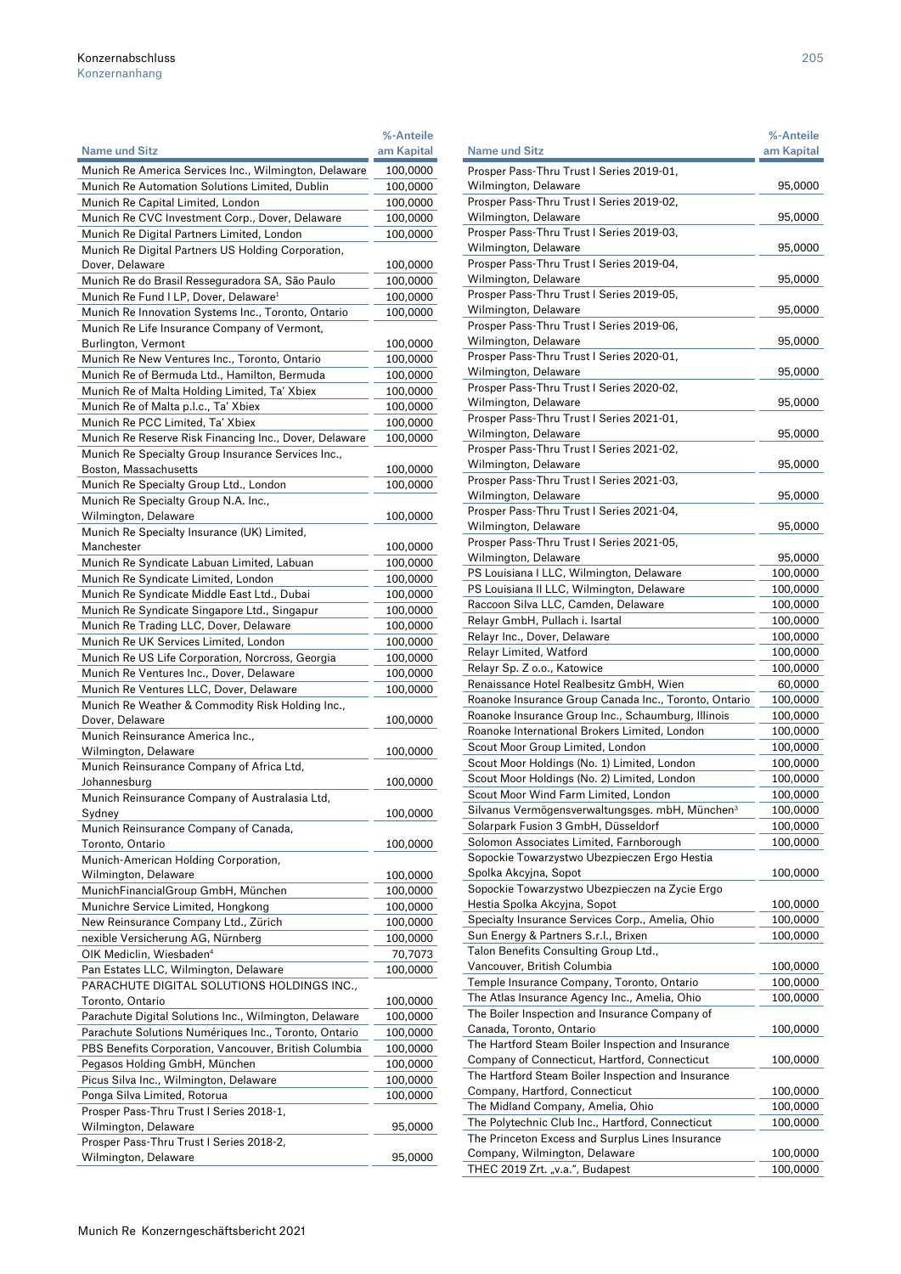|                                                                                                              | %-Anteile            |
|--------------------------------------------------------------------------------------------------------------|----------------------|
| <b>Name und Sitz</b>                                                                                         | am Kapital           |
| Munich Re America Services Inc., Wilmington, Delaware                                                        | 100,0000             |
| Munich Re Automation Solutions Limited, Dublin                                                               | 100,0000             |
| Munich Re Capital Limited, London                                                                            | 100,0000             |
| Munich Re CVC Investment Corp., Dover, Delaware                                                              | 100,0000             |
| Munich Re Digital Partners Limited, London                                                                   | 100,0000             |
| Munich Re Digital Partners US Holding Corporation,<br>Dover, Delaware                                        | 100,0000             |
| Munich Re do Brasil Resseguradora SA, São Paulo                                                              | 100,0000             |
| Munich Re Fund I LP, Dover, Delaware <sup>1</sup>                                                            | 100,0000             |
| Munich Re Innovation Systems Inc., Toronto, Ontario                                                          | 100,0000             |
| Munich Re Life Insurance Company of Vermont,                                                                 |                      |
| Burlington, Vermont                                                                                          | 100,0000             |
| Munich Re New Ventures Inc., Toronto, Ontario                                                                | 100,0000             |
| Munich Re of Bermuda Ltd., Hamilton, Bermuda                                                                 | 100,0000             |
| Munich Re of Malta Holding Limited, Ta' Xbiex                                                                | 100,0000             |
| Munich Re of Malta p.l.c., Ta' Xbiex                                                                         | 100,0000             |
| Munich Re PCC Limited, Ta' Xbiex                                                                             | 100,0000             |
| Munich Re Reserve Risk Financing Inc., Dover, Delaware<br>Munich Re Specialty Group Insurance Services Inc., | 100,0000             |
| Boston, Massachusetts                                                                                        | 100,0000             |
| Munich Re Specialty Group Ltd., London                                                                       | 100,0000             |
| Munich Re Specialty Group N.A. Inc.,                                                                         |                      |
| Wilmington, Delaware                                                                                         | 100,0000             |
| Munich Re Specialty Insurance (UK) Limited,                                                                  |                      |
| Manchester                                                                                                   | 100,0000             |
| Munich Re Syndicate Labuan Limited, Labuan                                                                   | 100,0000             |
| Munich Re Syndicate Limited, London                                                                          | 100,0000             |
| Munich Re Syndicate Middle East Ltd., Dubai                                                                  | 100,0000             |
| Munich Re Syndicate Singapore Ltd., Singapur                                                                 | 100,0000             |
| Munich Re Trading LLC, Dover, Delaware                                                                       | 100,0000             |
| Munich Re UK Services Limited, London                                                                        | 100,0000             |
| Munich Re US Life Corporation, Norcross, Georgia                                                             | 100,0000             |
| Munich Re Ventures Inc., Dover, Delaware<br>Munich Re Ventures LLC, Dover, Delaware                          | 100,0000<br>100,0000 |
| Munich Re Weather & Commodity Risk Holding Inc.,                                                             |                      |
| Dover, Delaware                                                                                              | 100,0000             |
| Munich Reinsurance America Inc.,                                                                             |                      |
| Wilmington, Delaware                                                                                         | 100,0000             |
| Munich Reinsurance Company of Africa Ltd,                                                                    |                      |
| Johannesburg                                                                                                 | 100,0000             |
| Munich Reinsurance Company of Australasia Ltd,                                                               |                      |
| Sydney                                                                                                       | 100,0000             |
| Munich Reinsurance Company of Canada,<br>Toronto, Ontario                                                    |                      |
| Munich-American Holding Corporation,                                                                         | 100,0000             |
| Wilmington, Delaware                                                                                         | 100,0000             |
| MunichFinancialGroup GmbH, München                                                                           | 100,0000             |
| Munichre Service Limited, Hongkong                                                                           | 100,0000             |
| New Reinsurance Company Ltd., Zürich                                                                         | 100,0000             |
| nexible Versicherung AG, Nürnberg                                                                            | 100,0000             |
| OIK Mediclin, Wiesbaden <sup>4</sup>                                                                         | 70,7073              |
| Pan Estates LLC, Wilmington, Delaware                                                                        | 100,0000             |
| PARACHUTE DIGITAL SOLUTIONS HOLDINGS INC.,                                                                   |                      |
| Toronto, Ontario                                                                                             | 100,0000             |
| Parachute Digital Solutions Inc., Wilmington, Delaware                                                       | 100,0000             |
| Parachute Solutions Numériques Inc., Toronto, Ontario                                                        | 100,0000             |
| PBS Benefits Corporation, Vancouver, British Columbia<br>Pegasos Holding GmbH, München                       | 100,0000<br>100,0000 |
| Picus Silva Inc., Wilmington, Delaware                                                                       | 100,0000             |
| Ponga Silva Limited, Rotorua                                                                                 | 100,0000             |
| Prosper Pass-Thru Trust   Series 2018-1,                                                                     |                      |
| Wilmington, Delaware                                                                                         | 95,0000              |
| Prosper Pass-Thru Trust I Series 2018-2,                                                                     |                      |
| Wilmington, Delaware                                                                                         | 95,0000              |

|                                                       | %-Anteile  |
|-------------------------------------------------------|------------|
| <b>Name und Sitz</b>                                  | am Kapital |
| Prosper Pass-Thru Trust I Series 2019-01,             |            |
| Wilmington, Delaware                                  | 95,0000    |
| Prosper Pass-Thru Trust I Series 2019-02,             |            |
| Wilmington, Delaware                                  | 95,0000    |
| Prosper Pass-Thru Trust I Series 2019-03,             |            |
| Wilmington, Delaware                                  | 95,0000    |
| Prosper Pass-Thru Trust I Series 2019-04,             |            |
|                                                       |            |
| Wilmington, Delaware                                  | 95,0000    |
| Prosper Pass-Thru Trust I Series 2019-05,             |            |
| Wilmington, Delaware                                  | 95,0000    |
| Prosper Pass-Thru Trust I Series 2019-06,             |            |
| Wilmington, Delaware                                  | 95,0000    |
| Prosper Pass-Thru Trust I Series 2020-01,             |            |
| Wilmington, Delaware                                  | 95,0000    |
| Prosper Pass-Thru Trust I Series 2020-02,             |            |
| Wilmington, Delaware                                  | 95,0000    |
| Prosper Pass-Thru Trust I Series 2021-01,             |            |
| Wilmington, Delaware                                  | 95,0000    |
| Prosper Pass-Thru Trust I Series 2021-02,             |            |
| Wilmington, Delaware                                  | 95,0000    |
| Prosper Pass-Thru Trust I Series 2021-03,             |            |
| Wilmington, Delaware                                  | 95,0000    |
| Prosper Pass-Thru Trust I Series 2021-04,             |            |
| Wilmington, Delaware                                  | 95,0000    |
| Prosper Pass-Thru Trust I Series 2021-05,             |            |
| Wilmington, Delaware                                  | 95,0000    |
| PS Louisiana I LLC, Wilmington, Delaware              | 100,0000   |
| PS Louisiana II LLC, Wilmington, Delaware             | 100,0000   |
| Raccoon Silva LLC, Camden, Delaware                   | 100,0000   |
|                                                       |            |
| Relayr GmbH, Pullach i. Isartal                       | 100,0000   |
| Relayr Inc., Dover, Delaware                          | 100,0000   |
| Relayr Limited, Watford                               | 100,0000   |
| Relayr Sp. Z o.o., Katowice                           | 100,0000   |
| Renaissance Hotel Realbesitz GmbH, Wien               | 60,0000    |
| Roanoke Insurance Group Canada Inc., Toronto, Ontario | 100,0000   |
| Roanoke Insurance Group Inc., Schaumburg, Illinois    | 100,0000   |
| Roanoke International Brokers Limited, London         | 100,0000   |
| Scout Moor Group Limited, London                      | 100,0000   |
| Scout Moor Holdings (No. 1) Limited, London           | 100,0000   |
| Scout Moor Holdings (No. 2) Limited, London           | 100,0000   |
| Scout Moor Wind Farm Limited, London                  | 100,0000   |
| Silvanus Vermögensverwaltungsges. mbH, München<br>3   | 100,0000   |
| Solarpark Fusion 3 GmbH, Düsseldorf                   | 100,0000   |
| Solomon Associates Limited, Farnborough               | 100,0000   |
| Sopockie Towarzystwo Ubezpieczen Ergo Hestia          |            |
| Spolka Akcyjna, Sopot                                 | 100,0000   |
| Sopockie Towarzystwo Ubezpieczen na Zycie Ergo        |            |
| Hestia Spolka Akcyjna, Sopot                          | 100,0000   |
| Specialty Insurance Services Corp., Amelia, Ohio      | 100,0000   |
|                                                       | 100,0000   |
| Sun Energy & Partners S.r.l., Brixen                  |            |
| Talon Benefits Consulting Group Ltd.,                 |            |
| Vancouver, British Columbia                           | 100,0000   |
| Temple Insurance Company, Toronto, Ontario            | 100,0000   |
| The Atlas Insurance Agency Inc., Amelia, Ohio         | 100,0000   |
| The Boiler Inspection and Insurance Company of        |            |
| Canada, Toronto, Ontario                              | 100,0000   |
| The Hartford Steam Boiler Inspection and Insurance    |            |
| Company of Connecticut, Hartford, Connecticut         | 100,0000   |
| The Hartford Steam Boiler Inspection and Insurance    |            |
| Company, Hartford, Connecticut                        | 100,0000   |
| The Midland Company, Amelia, Ohio                     | 100,0000   |
| The Polytechnic Club Inc., Hartford, Connecticut      | 100,0000   |
| The Princeton Excess and Surplus Lines Insurance      |            |
| Company, Wilmington, Delaware                         | 100,0000   |
| THEC 2019 Zrt. "v.a.", Budapest                       | 100,0000   |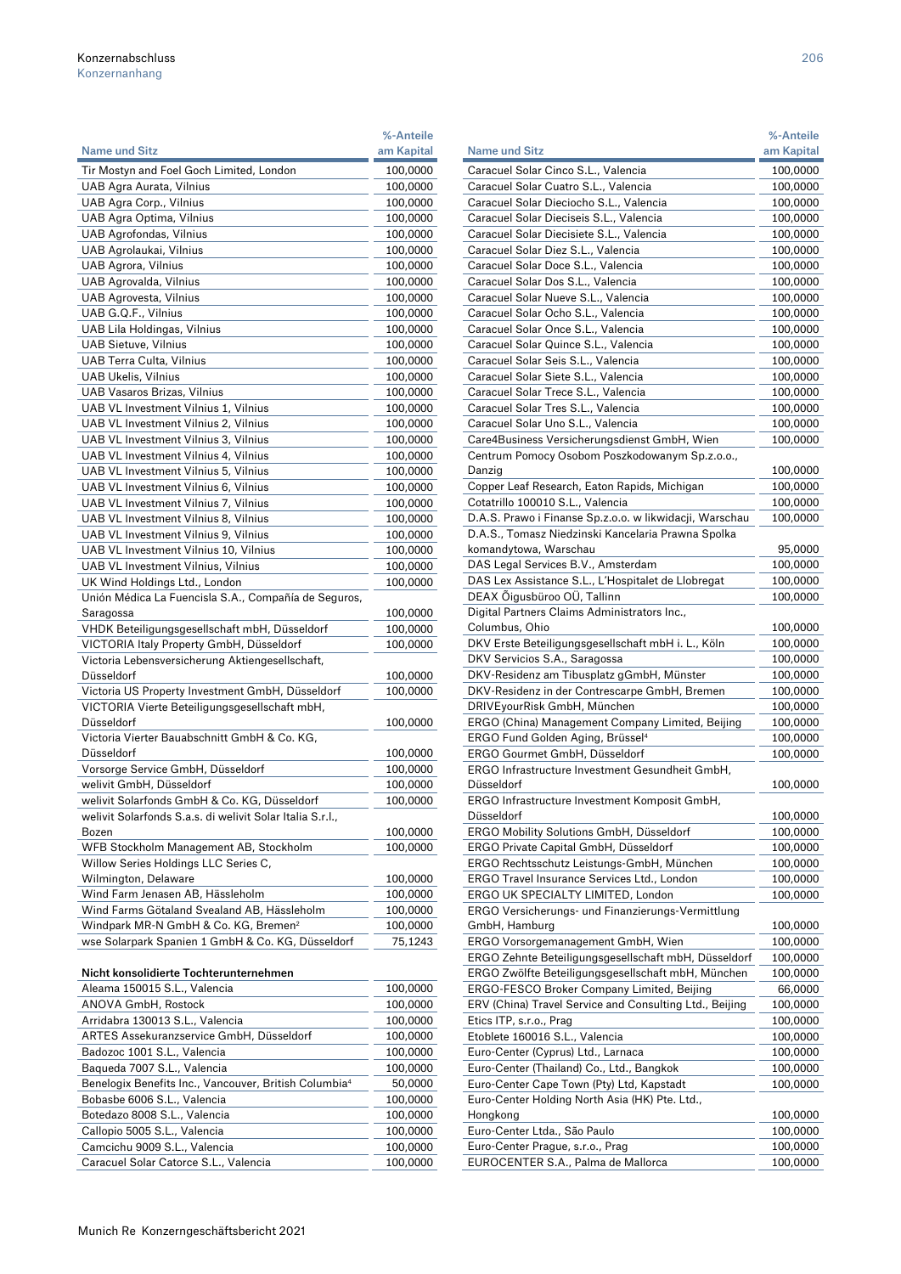|                                                                        | %-Anteile  |
|------------------------------------------------------------------------|------------|
| <b>Name und Sitz</b>                                                   | am Kapital |
| Tir Mostyn and Foel Goch Limited, London                               | 100,0000   |
| UAB Agra Aurata, Vilnius                                               | 100,0000   |
| UAB Agra Corp., Vilnius                                                | 100,0000   |
| UAB Agra Optima, Vilnius                                               | 100,0000   |
| <b>UAB Agrofondas, Vilnius</b>                                         | 100,0000   |
| UAB Agrolaukai, Vilnius                                                | 100,0000   |
| UAB Agrora, Vilnius                                                    | 100,0000   |
| UAB Agrovalda, Vilnius                                                 | 100,0000   |
| UAB Agrovesta, Vilnius                                                 | 100,0000   |
| UAB G.Q.F., Vilnius                                                    | 100,0000   |
| UAB Lila Holdingas, Vilnius                                            | 100,0000   |
| <b>UAB Sietuve, Vilnius</b>                                            | 100,0000   |
| UAB Terra Culta, Vilnius                                               | 100,0000   |
| <b>UAB Ukelis, Vilnius</b>                                             | 100,0000   |
| UAB Vasaros Brizas, Vilnius                                            | 100,0000   |
| UAB VL Investment Vilnius 1, Vilnius                                   | 100,0000   |
| UAB VL Investment Vilnius 2, Vilnius                                   | 100,0000   |
| UAB VL Investment Vilnius 3, Vilnius                                   | 100,0000   |
| UAB VL Investment Vilnius 4, Vilnius                                   | 100,0000   |
| UAB VL Investment Vilnius 5, Vilnius                                   | 100,0000   |
| UAB VL Investment Vilnius 6, Vilnius                                   | 100,0000   |
| UAB VL Investment Vilnius 7, Vilnius                                   | 100,0000   |
| UAB VL Investment Vilnius 8, Vilnius                                   | 100,0000   |
| UAB VL Investment Vilnius 9, Vilnius                                   | 100,0000   |
| UAB VL Investment Vilnius 10, Vilnius                                  | 100,0000   |
| <b>UAB VL Investment Vilnius, Vilnius</b>                              | 100,0000   |
| UK Wind Holdings Ltd., London                                          | 100,0000   |
| Unión Médica La Fuencisla S.A., Compañía de Seguros,                   |            |
| Saragossa                                                              | 100,0000   |
| VHDK Beteiligungsgesellschaft mbH, Düsseldorf                          | 100,0000   |
| VICTORIA Italy Property GmbH, Düsseldorf                               | 100,0000   |
| Victoria Lebensversicherung Aktiengesellschaft,                        |            |
| Düsseldorf                                                             | 100,0000   |
| Victoria US Property Investment GmbH, Düsseldorf                       | 100,0000   |
| VICTORIA Vierte Beteiligungsgesellschaft mbH,                          |            |
| Düsseldorf                                                             | 100,0000   |
| Victoria Vierter Bauabschnitt GmbH & Co. KG,                           |            |
| Düsseldorf                                                             | 100,0000   |
| Vorsorge Service GmbH, Düsseldorf                                      | 100,0000   |
| welivit GmbH, Düsseldorf                                               | 100,0000   |
| welivit Solarfonds GmbH & Co. KG, Düsseldorf                           | 100,0000   |
| welivit Solarfonds S.a.s. di welivit Solar Italia S.r.l.,              |            |
| Bozen                                                                  | 100,0000   |
| WFB Stockholm Management AB, Stockholm                                 | 100,0000   |
| Willow Series Holdings LLC Series C,                                   |            |
| Wilmington, Delaware                                                   | 100,0000   |
| Wind Farm Jenasen AB, Hässleholm                                       | 100,0000   |
| Wind Farms Götaland Svealand AB, Hässleholm                            | 100,0000   |
| Windpark MR-N GmbH & Co. KG, Bremen <sup>2</sup>                       | 100,0000   |
| wse Solarpark Spanien 1 GmbH & Co. KG, Düsseldorf                      | 75,1243    |
|                                                                        |            |
| Nicht konsolidierte Tochterunternehmen<br>Aleama 150015 S.L., Valencia | 100.0000   |
|                                                                        |            |

| Aleama 150015 S.L., Valencia                                      | 100,0000 |
|-------------------------------------------------------------------|----------|
| ANOVA GmbH, Rostock                                               | 100,0000 |
| Arridabra 130013 S.L., Valencia                                   | 100,0000 |
| ARTES Assekuranzservice GmbH, Düsseldorf                          | 100,0000 |
| Badozoc 1001 S.L., Valencia                                       | 100,0000 |
| Bagueda 7007 S.L., Valencia                                       | 100,0000 |
| Benelogix Benefits Inc., Vancouver, British Columbia <sup>4</sup> | 50,0000  |
| Bobasbe 6006 S.L., Valencia                                       | 100,0000 |
| Botedazo 8008 S.L., Valencia                                      | 100,0000 |
| Callopio 5005 S.L., Valencia                                      | 100,0000 |
| Camcichu 9009 S.L., Valencia                                      | 100.0000 |
| Caracuel Solar Catorce S.L., Valencia                             | 100,0000 |
|                                                                   |          |

|                                                                                 | %-Anteile            |
|---------------------------------------------------------------------------------|----------------------|
| Name und Sitz                                                                   | am Kapital           |
| Caracuel Solar Cinco S.L., Valencia                                             | 100,0000             |
| Caracuel Solar Cuatro S.L., Valencia<br>Caracuel Solar Dieciocho S.L., Valencia | 100,0000             |
| Caracuel Solar Dieciseis S.L., Valencia                                         | 100,0000<br>100,0000 |
| Caracuel Solar Diecisiete S.L., Valencia                                        | 100,0000             |
| Caracuel Solar Diez S.L., Valencia                                              | 100,0000             |
| Caracuel Solar Doce S.L., Valencia                                              | 100,0000             |
| Caracuel Solar Dos S.L., Valencia                                               | 100,0000             |
| Caracuel Solar Nueve S.L., Valencia                                             | 100,0000             |
| Caracuel Solar Ocho S.L., Valencia                                              | 100,0000             |
| Caracuel Solar Once S.L., Valencia                                              | 100,0000             |
| Caracuel Solar Quince S.L., Valencia                                            | 100,0000             |
| Caracuel Solar Seis S.L., Valencia                                              | 100,0000             |
| Caracuel Solar Siete S.L., Valencia                                             | 100,0000             |
| Caracuel Solar Trece S.L., Valencia                                             | 100,0000             |
| Caracuel Solar Tres S.L., Valencia                                              | 100,0000             |
| Caracuel Solar Uno S.L., Valencia                                               | 100,0000             |
| Care4Business Versicherungsdienst GmbH, Wien                                    | 100,0000             |
| Centrum Pomocy Osobom Poszkodowanym Sp.z.o.o.,<br>Danzig                        | 100,0000             |
| Copper Leaf Research, Eaton Rapids, Michigan                                    | 100,0000             |
| Cotatrillo 100010 S.L., Valencia                                                | 100,0000             |
| D.A.S. Prawo i Finanse Sp.z.o.o. w likwidacji, Warschau                         | 100,0000             |
| D.A.S., Tomasz Niedzinski Kancelaria Prawna Spolka                              |                      |
| komandytowa, Warschau                                                           | 95,0000              |
| DAS Legal Services B.V., Amsterdam                                              | 100,0000             |
| DAS Lex Assistance S.L., L'Hospitalet de Llobregat                              | 100,0000             |
| DEAX Õigusbüroo OÜ, Tallinn                                                     | 100,0000             |
| Digital Partners Claims Administrators Inc.,                                    |                      |
| Columbus, Ohio                                                                  | 100,0000             |
| DKV Erste Beteiligungsgesellschaft mbH i. L., Köln                              | 100,0000             |
| DKV Servicios S.A., Saragossa                                                   | 100,0000             |
| DKV-Residenz am Tibusplatz gGmbH, Münster                                       | 100,0000             |
| DKV-Residenz in der Contrescarpe GmbH, Bremen<br>DRIVEyourRisk GmbH, München    | 100,0000<br>100,0000 |
| ERGO (China) Management Company Limited, Beijing                                | 100,0000             |
| ERGO Fund Golden Aging, Brüssel <sup>4</sup>                                    | 100,0000             |
| ERGO Gourmet GmbH, Düsseldorf                                                   | 100,0000             |
| ERGO Infrastructure Investment Gesundheit GmbH,                                 |                      |
| Düsseldorf                                                                      | 100,0000             |
| ERGO Infrastructure Investment Komposit GmbH,                                   |                      |
| Düsseldorf                                                                      | 100,0000             |
| ERGO Mobility Solutions GmbH, Düsseldorf                                        | 100,0000             |
| ERGO Private Capital GmbH, Düsseldorf                                           | 100,0000             |
| ERGO Rechtsschutz Leistungs-GmbH, München                                       | 100,0000             |
| ERGO Travel Insurance Services Ltd., London                                     | 100,0000             |
| ERGO UK SPECIALTY LIMITED, London                                               | 100,0000             |
| ERGO Versicherungs- und Finanzierungs-Vermittlung<br>GmbH, Hamburg              | 100,0000             |
| ERGO Vorsorgemanagement GmbH, Wien                                              | 100,0000             |
| ERGO Zehnte Beteiligungsgesellschaft mbH, Düsseldorf                            | 100,0000             |
| ERGO Zwölfte Beteiligungsgesellschaft mbH, München                              | 100,0000             |
| ERGO-FESCO Broker Company Limited, Beijing                                      | 66,0000              |
| ERV (China) Travel Service and Consulting Ltd., Beijing                         | 100,0000             |
| Etics ITP, s.r.o., Prag                                                         | 100,0000             |
| Etoblete 160016 S.L., Valencia                                                  | 100,0000             |
| Euro-Center (Cyprus) Ltd., Larnaca                                              | 100,0000             |
| Euro-Center (Thailand) Co., Ltd., Bangkok                                       | 100,0000             |
| Euro-Center Cape Town (Pty) Ltd, Kapstadt                                       | 100,0000             |
| Euro-Center Holding North Asia (HK) Pte. Ltd.,                                  |                      |
| Hongkong<br>Euro-Center Ltda., São Paulo                                        | 100,0000             |
| Euro-Center Prague, s.r.o., Prag                                                | 100,0000<br>100,0000 |
| EUROCENTER S.A., Palma de Mallorca                                              | 100,0000             |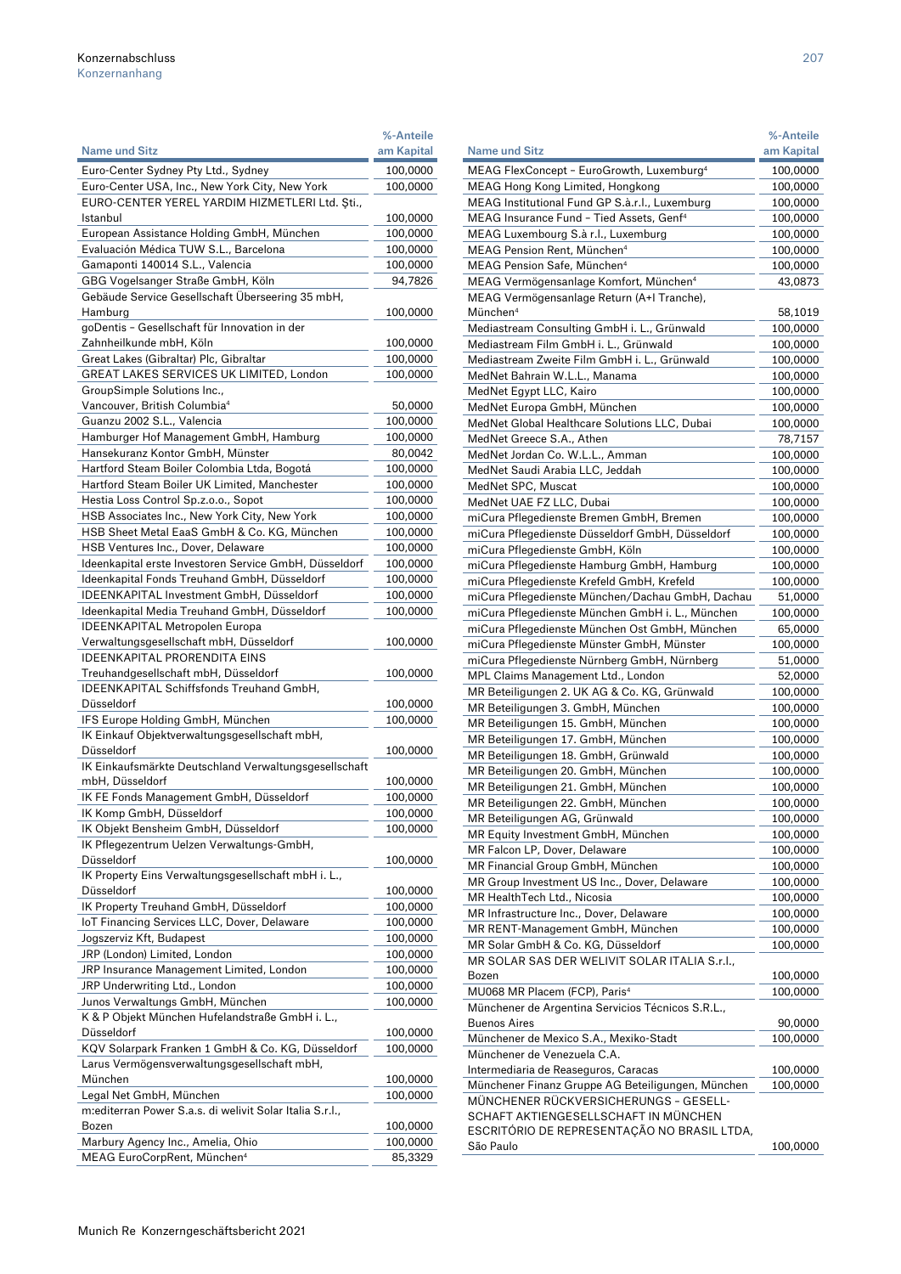|                                                                                  | %-Anteile  |
|----------------------------------------------------------------------------------|------------|
| <b>Name und Sitz</b>                                                             | am Kapital |
| Euro-Center Sydney Pty Ltd., Sydney                                              | 100,0000   |
| Euro-Center USA, Inc., New York City, New York                                   | 100,0000   |
| EURO-CENTER YEREL YARDIM HIZMETLERI Ltd. Şti.,                                   |            |
| Istanbul                                                                         | 100,0000   |
| European Assistance Holding GmbH, München                                        | 100,0000   |
| Evaluación Médica TUW S.L., Barcelona                                            | 100,0000   |
| Gamaponti 140014 S.L., Valencia                                                  | 100,0000   |
| GBG Vogelsanger Straße GmbH, Köln                                                | 94,7826    |
| Gebäude Service Gesellschaft Überseering 35 mbH,                                 |            |
| Hamburg                                                                          | 100,0000   |
| goDentis - Gesellschaft für Innovation in der                                    |            |
| Zahnheilkunde mbH, Köln                                                          | 100,0000   |
| Great Lakes (Gibraltar) Plc, Gibraltar                                           | 100,0000   |
| GREAT LAKES SERVICES UK LIMITED, London                                          | 100,0000   |
| GroupSimple Solutions Inc.,                                                      |            |
| Vancouver, British Columbia <sup>4</sup>                                         | 50,0000    |
| Guanzu 2002 S.L., Valencia                                                       | 100,0000   |
| Hamburger Hof Management GmbH, Hamburg                                           | 100,0000   |
| Hansekuranz Kontor GmbH, Münster                                                 | 80,0042    |
| Hartford Steam Boiler Colombia Ltda, Bogotá                                      | 100,0000   |
| Hartford Steam Boiler UK Limited, Manchester                                     | 100,0000   |
| Hestia Loss Control Sp.z.o.o., Sopot                                             | 100,0000   |
| HSB Associates Inc., New York City, New York                                     | 100,0000   |
| HSB Sheet Metal EaaS GmbH & Co. KG, München                                      | 100,0000   |
| HSB Ventures Inc., Dover, Delaware                                               | 100,0000   |
| Ideenkapital erste Investoren Service GmbH, Düsseldorf                           | 100,0000   |
| Ideenkapital Fonds Treuhand GmbH, Düsseldorf                                     | 100,0000   |
| IDEENKAPITAL Investment GmbH, Düsseldorf                                         | 100,0000   |
| Ideenkapital Media Treuhand GmbH, Düsseldorf                                     | 100,0000   |
| <b>IDEENKAPITAL Metropolen Europa</b>                                            |            |
| Verwaltungsgesellschaft mbH, Düsseldorf                                          | 100,0000   |
| <b>IDEENKAPITAL PRORENDITA EINS</b>                                              |            |
| Treuhandgesellschaft mbH, Düsseldorf                                             | 100,0000   |
| IDEENKAPITAL Schiffsfonds Treuhand GmbH,                                         |            |
| Düsseldorf                                                                       | 100,0000   |
| IFS Europe Holding GmbH, München                                                 | 100,0000   |
| IK Einkauf Objektverwaltungsgesellschaft mbH,                                    |            |
| Düsseldorf                                                                       | 100,0000   |
| IK Einkaufsmärkte Deutschland Verwaltungsgesellschaft                            |            |
| mbH, Düsseldorf                                                                  | 100,0000   |
| IK FE Fonds Management GmbH, Düsseldorf                                          | 100,0000   |
| IK Komp GmbH, Düsseldorf                                                         | 100,0000   |
| IK Objekt Bensheim GmbH, Düsseldorf<br>IK Pflegezentrum Uelzen Verwaltungs-GmbH, | 100,0000   |
| Düsseldorf                                                                       |            |
| IK Property Eins Verwaltungsgesellschaft mbH i. L.,                              | 100,0000   |
| Düsseldorf                                                                       | 100,0000   |
| IK Property Treuhand GmbH, Düsseldorf                                            | 100,0000   |
| IoT Financing Services LLC, Dover, Delaware                                      | 100,0000   |
| Jogszerviz Kft, Budapest                                                         | 100,0000   |
| JRP (London) Limited, London                                                     | 100,0000   |
| JRP Insurance Management Limited, London                                         | 100,0000   |
| JRP Underwriting Ltd., London                                                    | 100,0000   |
| Junos Verwaltungs GmbH, München                                                  | 100,0000   |
| K & P Objekt München Hufelandstraße GmbH i. L.,                                  |            |
| Düsseldorf                                                                       | 100,0000   |
| KQV Solarpark Franken 1 GmbH & Co. KG, Düsseldorf                                | 100,0000   |
| Larus Vermögensverwaltungsgesellschaft mbH,                                      |            |
| München                                                                          | 100,0000   |
| Legal Net GmbH, München                                                          | 100,0000   |
| m:editerran Power S.a.s. di welivit Solar Italia S.r.l.,                         |            |
| Bozen                                                                            | 100,0000   |
| Marbury Agency Inc., Amelia, Ohio                                                | 100,0000   |
| MEAG EuroCorpRent, München <sup>4</sup>                                          | 85,3329    |

|                                                       | %-Anteile  |
|-------------------------------------------------------|------------|
| <b>Name und Sitz</b>                                  | am Kapital |
| MEAG FlexConcept - EuroGrowth, Luxemburg <sup>4</sup> | 100,0000   |
| MEAG Hong Kong Limited, Hongkong                      | 100,0000   |
| MEAG Institutional Fund GP S.à.r.l., Luxemburg        | 100,0000   |
| MEAG Insurance Fund - Tied Assets, Genf <sup>4</sup>  | 100,0000   |
| MEAG Luxembourg S.à r.l., Luxemburg                   | 100,0000   |
| MEAG Pension Rent, München <sup>4</sup>               | 100,0000   |
| MEAG Pension Safe, München <sup>4</sup>               | 100,0000   |
| MEAG Vermögensanlage Komfort, München <sup>4</sup>    | 43,0873    |
| MEAG Vermögensanlage Return (A+I Tranche),            |            |
| München <sup>4</sup>                                  | 58,1019    |
| Mediastream Consulting GmbH i. L., Grünwald           | 100,0000   |
| Mediastream Film GmbH i. L., Grünwald                 | 100,0000   |
| Mediastream Zweite Film GmbH i. L., Grünwald          | 100,0000   |
| MedNet Bahrain W.L.L., Manama                         | 100,0000   |
| MedNet Egypt LLC, Kairo                               | 100,0000   |
| MedNet Europa GmbH, München                           | 100,0000   |
| MedNet Global Healthcare Solutions LLC, Dubai         | 100,0000   |
| MedNet Greece S.A., Athen                             | 78,7157    |
| MedNet Jordan Co. W.L.L., Amman                       | 100,0000   |
| MedNet Saudi Arabia LLC, Jeddah                       | 100,0000   |
| MedNet SPC, Muscat                                    | 100,0000   |
| MedNet UAE FZ LLC, Dubai                              | 100,0000   |
| miCura Pflegedienste Bremen GmbH, Bremen              | 100,0000   |
| miCura Pflegedienste Düsseldorf GmbH, Düsseldorf      | 100,0000   |
| miCura Pflegedienste GmbH, Köln                       | 100,0000   |
| miCura Pflegedienste Hamburg GmbH, Hamburg            | 100,0000   |
| miCura Pflegedienste Krefeld GmbH, Krefeld            | 100,0000   |
| miCura Pflegedienste München/Dachau GmbH, Dachau      | 51,0000    |
| miCura Pflegedienste München GmbH i. L., München      | 100,0000   |
| miCura Pflegedienste München Ost GmbH, München        | 65,0000    |
| miCura Pflegedienste Münster GmbH, Münster            | 100,0000   |
| miCura Pflegedienste Nürnberg GmbH, Nürnberg          | 51,0000    |
| MPL Claims Management Ltd., London                    | 52,0000    |
| MR Beteiligungen 2. UK AG & Co. KG, Grünwald          | 100,0000   |
| MR Beteiligungen 3. GmbH, München                     | 100,0000   |
| MR Beteiligungen 15. GmbH, München                    | 100,0000   |
| MR Beteiligungen 17. GmbH, München                    | 100,0000   |
| MR Beteiligungen 18. GmbH, Grünwald                   | 100,0000   |
| MR Beteiligungen 20. GmbH, München                    | 100,0000   |
| MR Beteiligungen 21. GmbH, München                    | 100,0000   |
| MR Beteiliaunaen 22. GmbH. München                    | 100,0000   |
| MR Beteiligungen AG, Grünwald                         | 100,0000   |
| MR Equity Investment GmbH, München                    | 100,0000   |
| MR Falcon LP, Dover, Delaware                         | 100,0000   |
| MR Financial Group GmbH, München                      | 100,0000   |
| MR Group Investment US Inc., Dover, Delaware          | 100,0000   |
| MR HealthTech Ltd., Nicosia                           | 100,0000   |
| MR Infrastructure Inc., Dover, Delaware               | 100,0000   |
| MR RENT-Management GmbH, München                      | 100,0000   |
| MR Solar GmbH & Co. KG, Düsseldorf                    | 100,0000   |
| MR SOLAR SAS DER WELIVIT SOLAR ITALIA S.r.l.,         |            |
| Bozen                                                 | 100,0000   |
| MU068 MR Placem (FCP), Paris <sup>4</sup>             | 100,0000   |
| Münchener de Argentina Servicios Técnicos S.R.L.,     |            |
| <b>Buenos Aires</b>                                   | 90,0000    |
| Münchener de Mexico S.A., Mexiko-Stadt                | 100,0000   |
| Münchener de Venezuela C.A.                           |            |
| Intermediaria de Reaseguros, Caracas                  | 100,0000   |
| Münchener Finanz Gruppe AG Beteiligungen, München     | 100,0000   |
| MÜNCHENER RÜCKVERSICHERUNGS - GESELL-                 |            |
| SCHAFT AKTIENGESELLSCHAFT IN MÜNCHEN                  |            |
| ESCRITÓRIO DE REPRESENTAÇÃO NO BRASIL LTDA,           |            |
| São Paulo                                             | 100,0000   |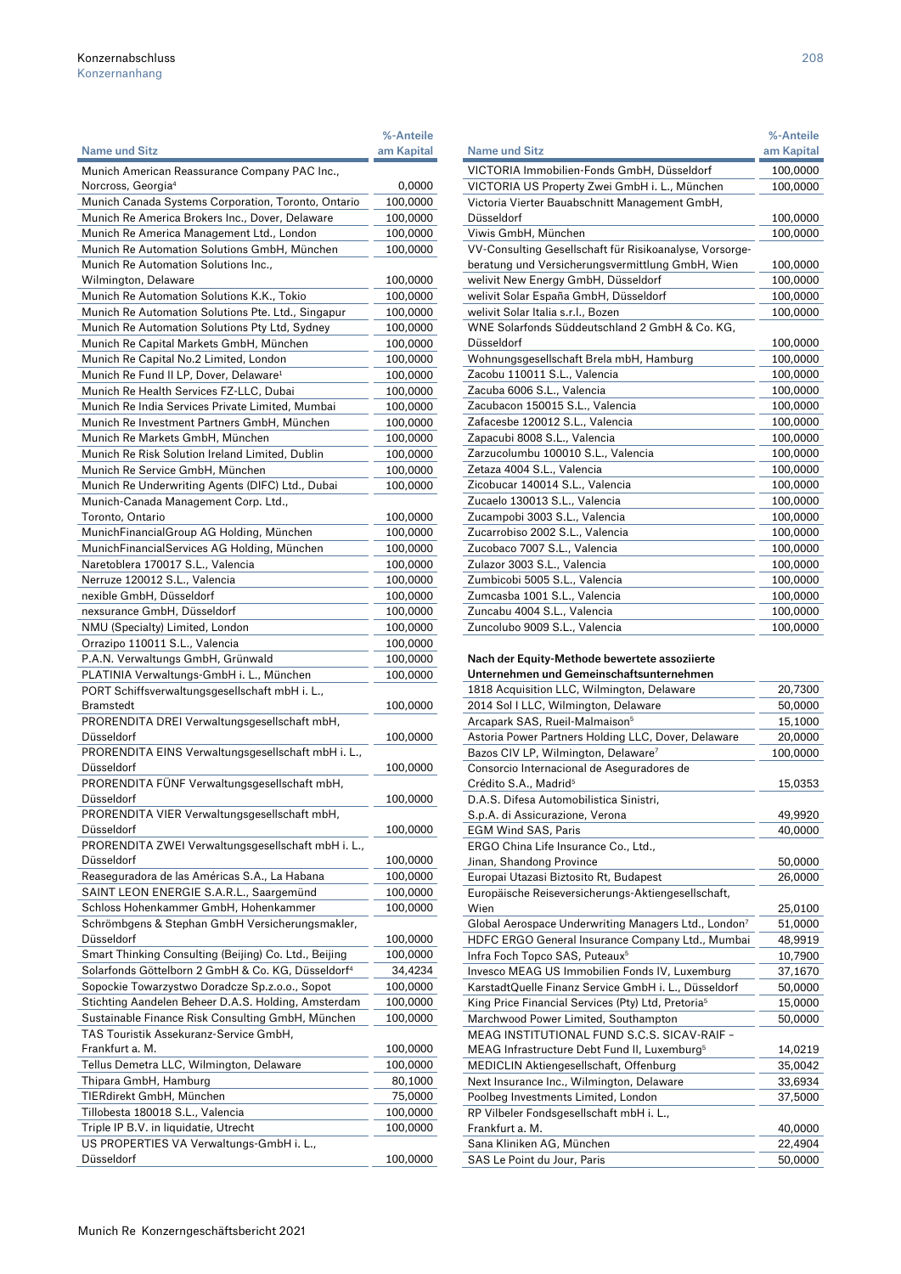|                                                                | %-Anteile            |
|----------------------------------------------------------------|----------------------|
| Name und Sitz                                                  | am Kapital           |
| Munich American Reassurance Company PAC Inc.,                  |                      |
| Norcross, Georgia <sup>4</sup>                                 | 0,0000               |
| Munich Canada Systems Corporation, Toronto, Ontario            | 100,0000             |
| Munich Re America Brokers Inc., Dover, Delaware                | 100,0000             |
| Munich Re America Management Ltd., London                      | 100,0000             |
| Munich Re Automation Solutions GmbH, München                   | 100,0000             |
| Munich Re Automation Solutions Inc.,                           |                      |
| Wilmington, Delaware                                           | 100,0000             |
| Munich Re Automation Solutions K.K., Tokio                     | 100,0000             |
| Munich Re Automation Solutions Pte. Ltd., Singapur             | 100,0000             |
| Munich Re Automation Solutions Pty Ltd, Sydney                 | 100,0000             |
| Munich Re Capital Markets GmbH, München                        |                      |
|                                                                | 100,0000             |
| Munich Re Capital No.2 Limited, London                         | 100,0000             |
| Munich Re Fund II LP, Dover, Delaware <sup>1</sup>             | 100,0000             |
| Munich Re Health Services FZ-LLC, Dubai                        | 100,0000             |
| Munich Re India Services Private Limited, Mumbai               | 100,0000             |
| Munich Re Investment Partners GmbH, München                    | 100,0000             |
| Munich Re Markets GmbH, München                                | 100,0000             |
| Munich Re Risk Solution Ireland Limited, Dublin                | 100,0000             |
| Munich Re Service GmbH, München                                | 100,0000             |
| Munich Re Underwriting Agents (DIFC) Ltd., Dubai               | 100,0000             |
| Munich-Canada Management Corp. Ltd.,                           |                      |
| Toronto, Ontario                                               | 100,0000             |
| MunichFinancialGroup AG Holding, München                       | 100,0000             |
| MunichFinancialServices AG Holding, München                    | 100,0000             |
| Naretoblera 170017 S.L., Valencia                              | 100,0000             |
| Nerruze 120012 S.L., Valencia                                  | 100,0000             |
| nexible GmbH, Düsseldorf                                       | 100,0000             |
| nexsurance GmbH, Düsseldorf                                    | 100,0000             |
| NMU (Specialty) Limited, London                                | 100,0000             |
| Orrazipo 110011 S.L., Valencia                                 | 100,0000             |
| P.A.N. Verwaltungs GmbH, Grünwald                              | 100,0000             |
| PLATINIA Verwaltungs-GmbH i. L., München                       | 100,0000             |
| PORT Schiffsverwaltungsgesellschaft mbH i. L.,                 |                      |
| Bramstedt                                                      | 100,0000             |
| PRORENDITA DREI Verwaltungsgesellschaft mbH,                   |                      |
| Düsseldorf                                                     | 100,0000             |
| PRORENDITA EINS Verwaltungsgesellschaft mbH i. L.,             |                      |
| Düsseldorf                                                     | 100,0000             |
| PRORENDITA FÜNF Verwaltungsgesellschaft mbH,                   |                      |
| Düsseldorf                                                     | 100,0000             |
| PRORENDITA VIER Verwaltungsgesellschaft mbH,                   |                      |
| Düsseldorf                                                     | 100,0000             |
| PRORENDITA ZWEI Verwaltungsgesellschaft mbH i. L.,             |                      |
| Düsseldorf                                                     | 100,0000             |
| Reaseguradora de las Américas S.A., La Habana                  | 100,0000             |
| SAINT LEON ENERGIE S.A.R.L., Saargemünd                        | 100,0000             |
| Schloss Hohenkammer GmbH, Hohenkammer                          | 100,0000             |
| Schrömbgens & Stephan GmbH Versicherungsmakler,                |                      |
| Düsseldorf                                                     |                      |
| Smart Thinking Consulting (Beijing) Co. Ltd., Beijing          | 100,0000<br>100,0000 |
| Solarfonds Göttelborn 2 GmbH & Co. KG, Düsseldorf <sup>4</sup> |                      |
|                                                                | 34,4234              |
| Sopockie Towarzystwo Doradcze Sp.z.o.o., Sopot                 | 100,0000             |
| Stichting Aandelen Beheer D.A.S. Holding, Amsterdam            | 100,0000             |
| Sustainable Finance Risk Consulting GmbH, München              | 100,0000             |
| TAS Touristik Assekuranz-Service GmbH,                         |                      |
| Frankfurt a. M.                                                | 100,0000             |
| Tellus Demetra LLC, Wilmington, Delaware                       | 100,0000             |
| Thipara GmbH, Hamburg                                          | 80,1000              |
| TIERdirekt GmbH, München                                       | 75,0000              |
| Tillobesta 180018 S.L., Valencia                               | 100,0000             |
| Triple IP B.V. in liquidatie, Utrecht                          | 100,0000             |
| US PROPERTIES VA Verwaltungs-GmbH i. L.,                       |                      |
| Düsseldorf                                                     | 100,0000             |

| <b>Name und Sitz</b>                                    | am Kapital |
|---------------------------------------------------------|------------|
| VICTORIA Immobilien-Fonds GmbH, Düsseldorf              | 100,0000   |
| VICTORIA US Property Zwei GmbH i. L., München           | 100,0000   |
| Victoria Vierter Bauabschnitt Management GmbH,          |            |
| Düsseldorf                                              | 100,0000   |
| Viwis GmbH, München                                     | 100,0000   |
| VV-Consulting Gesellschaft für Risikoanalyse, Vorsorge- |            |
| beratung und Versicherungsvermittlung GmbH, Wien        | 100,0000   |
| welivit New Energy GmbH, Düsseldorf                     | 100,0000   |
| welivit Solar España GmbH, Düsseldorf                   | 100,0000   |
| welivit Solar Italia s.r.l., Bozen                      | 100,0000   |
| WNE Solarfonds Süddeutschland 2 GmbH & Co. KG.          |            |
| Düsseldorf                                              | 100,0000   |
| Wohnungsgesellschaft Brela mbH, Hamburg                 | 100,0000   |
| Zacobu 110011 S.L., Valencia                            | 100,0000   |
| Zacuba 6006 S.L., Valencia                              | 100,0000   |
| Zacubacon 150015 S.L., Valencia                         | 100,0000   |
| Zafacesbe 120012 S.L., Valencia                         | 100,0000   |
| Zapacubi 8008 S.L., Valencia                            | 100,0000   |
| Zarzucolumbu 100010 S.L., Valencia                      | 100,0000   |
| Zetaza 4004 S.L., Valencia                              | 100,0000   |
| Zicobucar 140014 S.L., Valencia                         | 100,0000   |
| Zucaelo 130013 S.L., Valencia                           | 100,0000   |
| Zucampobi 3003 S.L., Valencia                           | 100,0000   |
| Zucarrobiso 2002 S.L., Valencia                         | 100,0000   |
| Zucobaco 7007 S.L., Valencia                            | 100,0000   |
| Zulazor 3003 S.L., Valencia                             | 100,0000   |
| Zumbicobi 5005 S.L., Valencia                           | 100,0000   |
| Zumcasba 1001 S.L., Valencia                            | 100,0000   |
| Zuncabu 4004 S.L., Valencia                             | 100,0000   |
| Zuncolubo 9009 S.L., Valencia                           | 100,0000   |

## Nach der Equity-Methode bewertete assoziierte

| Unternehmen und Gemeinschaftsunternehmen                         |          |
|------------------------------------------------------------------|----------|
| 1818 Acquisition LLC, Wilmington, Delaware                       | 20,7300  |
| 2014 Sol I LLC, Wilmington, Delaware                             | 50,0000  |
| Arcapark SAS, Rueil-Malmaison <sup>5</sup>                       | 15,1000  |
| Astoria Power Partners Holding LLC, Dover, Delaware              | 20,0000  |
| Bazos CIV LP, Wilmington, Delaware <sup>7</sup>                  | 100,0000 |
| Consorcio Internacional de Aseguradores de                       |          |
| Crédito S.A., Madrid <sup>5</sup>                                | 15,0353  |
| D.A.S. Difesa Automobilistica Sinistri.                          |          |
| S.p.A. di Assicurazione, Verona                                  | 49,9920  |
| <b>EGM Wind SAS, Paris</b>                                       | 40,0000  |
| ERGO China Life Insurance Co., Ltd.,                             |          |
| Jinan, Shandong Province                                         | 50,0000  |
| Europai Utazasi Biztosito Rt, Budapest                           | 26,0000  |
| Europäische Reiseversicherungs-Aktiengesellschaft,               |          |
| Wien                                                             | 25,0100  |
| Global Aerospace Underwriting Managers Ltd., London <sup>7</sup> | 51,0000  |
| HDFC ERGO General Insurance Company Ltd., Mumbai                 | 48,9919  |
| Infra Foch Topco SAS, Puteaux <sup>5</sup>                       | 10,7900  |
| Invesco MEAG US Immobilien Fonds IV, Luxemburg                   | 37,1670  |
| KarstadtQuelle Finanz Service GmbH i. L., Düsseldorf             | 50,0000  |
| King Price Financial Services (Pty) Ltd, Pretoria <sup>5</sup>   | 15,0000  |
| Marchwood Power Limited, Southampton                             | 50,0000  |
| MEAG INSTITUTIONAL FUND S.C.S. SICAV-RAIF -                      |          |
| MEAG Infrastructure Debt Fund II, Luxemburg <sup>5</sup>         | 14,0219  |
| MEDICLIN Aktiengesellschaft, Offenburg                           | 35,0042  |
| Next Insurance Inc., Wilmington, Delaware                        | 33,6934  |
| Poolbeg Investments Limited, London                              | 37,5000  |
| RP Vilbeler Fondsgesellschaft mbH i. L.,                         |          |
| Frankfurt a. M.                                                  | 40,0000  |
| Sana Kliniken AG, München                                        | 22,4904  |
| SAS Le Point du Jour, Paris                                      | 50,0000  |

%-Anteile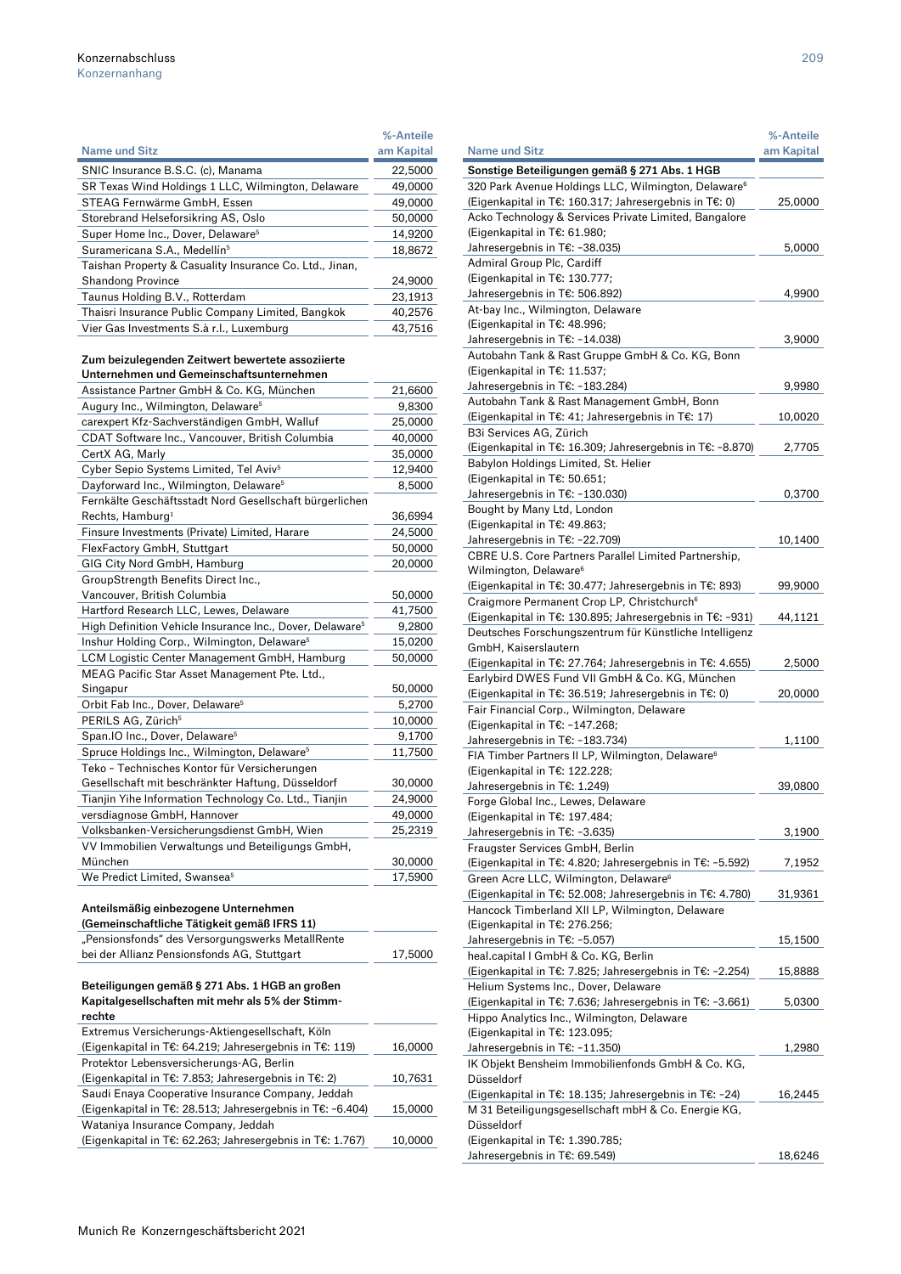| <b>Name und Sitz</b>                                    | %-Anteile<br>am Kapital |
|---------------------------------------------------------|-------------------------|
| SNIC Insurance B.S.C. (c), Manama                       | 22,5000                 |
| SR Texas Wind Holdings 1 LLC, Wilmington, Delaware      | 49,0000                 |
| STEAG Fernwärme GmbH, Essen                             | 49,0000                 |
| Storebrand Helseforsikring AS, Oslo                     | 50,0000                 |
| Super Home Inc., Dover, Delaware <sup>5</sup>           | 14,9200                 |
| Suramericana S.A., Medellín <sup>5</sup>                | 18,8672                 |
| Taishan Property & Casuality Insurance Co. Ltd., Jinan, |                         |
| <b>Shandong Province</b>                                | 24,9000                 |
| Taunus Holding B.V., Rotterdam                          | 23,1913                 |
| Thaisri Insurance Public Company Limited, Bangkok       | 40.2576                 |
| Vier Gas Investments S.à r.l., Luxemburg                | 43.7516                 |

## Zum beizulegenden Zeitwert bewertete assoziierte

| Unternehmen und Gemeinschaftsunternehmen                                                        |         |
|-------------------------------------------------------------------------------------------------|---------|
| Assistance Partner GmbH & Co. KG, München                                                       | 21,6600 |
| Augury Inc., Wilmington, Delaware <sup>5</sup>                                                  | 9,8300  |
| carexpert Kfz-Sachverständigen GmbH, Walluf                                                     | 25,0000 |
| CDAT Software Inc., Vancouver, British Columbia                                                 | 40,0000 |
| CertX AG, Marly                                                                                 | 35,0000 |
| Cyber Sepio Systems Limited, Tel Aviv <sup>5</sup>                                              | 12,9400 |
| Dayforward Inc., Wilmington, Delaware <sup>5</sup>                                              | 8,5000  |
| Fernkälte Geschäftsstadt Nord Gesellschaft bürgerlichen                                         |         |
| Rechts, Hamburg <sup>1</sup>                                                                    | 36,6994 |
| Finsure Investments (Private) Limited, Harare                                                   | 24,5000 |
| FlexFactory GmbH, Stuttgart                                                                     | 50,0000 |
| GIG City Nord GmbH, Hamburg                                                                     | 20,0000 |
| GroupStrength Benefits Direct Inc.,                                                             |         |
| Vancouver, British Columbia                                                                     | 50,0000 |
| Hartford Research LLC, Lewes, Delaware                                                          | 41,7500 |
| High Definition Vehicle Insurance Inc., Dover, Delaware <sup>5</sup>                            | 9,2800  |
| Inshur Holding Corp., Wilmington, Delaware <sup>5</sup>                                         | 15,0200 |
| LCM Logistic Center Management GmbH, Hamburg                                                    | 50,0000 |
| MEAG Pacific Star Asset Management Pte. Ltd.,                                                   |         |
| Singapur                                                                                        | 50,0000 |
| Orbit Fab Inc., Dover, Delaware <sup>5</sup>                                                    | 5,2700  |
| PERILS AG, Zürich <sup>5</sup>                                                                  | 10,0000 |
| Span.IO Inc., Dover, Delaware <sup>5</sup>                                                      | 9,1700  |
| Spruce Holdings Inc., Wilmington, Delaware <sup>5</sup>                                         | 11,7500 |
| Teko - Technisches Kontor für Versicherungen                                                    |         |
| Gesellschaft mit beschränkter Haftung, Düsseldorf                                               | 30,0000 |
| Tianjin Yihe Information Technology Co. Ltd., Tianjin                                           | 24,9000 |
| versdiagnose GmbH, Hannover                                                                     | 49,0000 |
| Volksbanken-Versicherungsdienst GmbH, Wien                                                      | 25,2319 |
| VV Immobilien Verwaltungs und Beteiligungs GmbH,                                                |         |
| München                                                                                         | 30,0000 |
| We Predict Limited, Swansea <sup>5</sup>                                                        | 17,5900 |
|                                                                                                 |         |
| Anteilsmäßig einbezogene Unternehmen                                                            |         |
| (Gemeinschaftliche Tätigkeit gemäß IFRS 11)                                                     |         |
|                                                                                                 |         |
| "Pensionsfonds" des Versorgungswerks MetallRente<br>bei der Allianz Pensionsfonds AG, Stuttgart |         |

## Beteiligungen gemäß § 271 Abs. 1 HGB an großen Kapitalgesellschaften mit mehr als 5% der Stimm-

| rechte                                                     |         |
|------------------------------------------------------------|---------|
| Extremus Versicherungs-Aktiengesellschaft, Köln            |         |
| (Eigenkapital in T€: 64.219; Jahresergebnis in T€: 119)    | 16,0000 |
| Protektor Lebensversicherungs-AG, Berlin                   |         |
| (Eigenkapital in T€: 7.853; Jahresergebnis in T€: 2)       | 10,7631 |
| Saudi Enaya Cooperative Insurance Company, Jeddah          |         |
| (Eigenkapital in T€: 28.513; Jahresergebnis in T€: -6.404) | 15,0000 |
| Wataniya Insurance Company, Jeddah                         |         |
| (Eigenkapital in T€: 62.263; Jahresergebnis in T€: 1.767)  | 10,0000 |
|                                                            |         |

| <b>Name und Sitz</b>                                            | %-Anteile<br>am Kapital |
|-----------------------------------------------------------------|-------------------------|
| Sonstige Beteiligungen gemäß § 271 Abs. 1 HGB                   |                         |
| 320 Park Avenue Holdings LLC, Wilmington, Delaware <sup>6</sup> |                         |
| (Eigenkapital in T€: 160.317; Jahresergebnis in T€: 0)          | 25,0000                 |
| Acko Technology & Services Private Limited, Bangalore           |                         |
| (Eigenkapital in T€: 61.980;                                    |                         |
| Jahresergebnis in T€: -38.035)                                  | 5,0000                  |
| Admiral Group Plc, Cardiff                                      |                         |
| (Eigenkapital in T€: 130.777;                                   |                         |
| Jahresergebnis in T€: 506.892)                                  | 4,9900                  |
| At-bay Inc., Wilmington, Delaware                               |                         |
| (Eigenkapital in T€: 48.996;                                    |                         |
| Jahresergebnis in T€: -14.038)                                  | 3,9000                  |
| Autobahn Tank & Rast Gruppe GmbH & Co. KG, Bonn                 |                         |
| (Eigenkapital in T€: 11.537;                                    |                         |
| Jahresergebnis in T€: -183.284)                                 | 9,9980                  |
| Autobahn Tank & Rast Management GmbH, Bonn                      |                         |
| (Eigenkapital in T€: 41; Jahresergebnis in T€: 17)              | 10,0020                 |
| B3i Services AG, Zürich                                         |                         |
| (Eigenkapital in T€: 16.309; Jahresergebnis in T€: -8.870)      | 2,7705                  |
| Babylon Holdings Limited, St. Helier                            |                         |
| (Eigenkapital in T€: 50.651;                                    |                         |
| Jahresergebnis in T€: -130.030)                                 |                         |
|                                                                 | 0,3700                  |
| Bought by Many Ltd, London                                      |                         |
| (Eigenkapital in T€: 49.863;                                    |                         |
| Jahresergebnis in T€: -22.709)                                  | 10,1400                 |
| CBRE U.S. Core Partners Parallel Limited Partnership,           |                         |
| Wilmington, Delaware <sup>6</sup>                               |                         |
| (Eigenkapital in T€: 30.477; Jahresergebnis in T€: 893)         | 99,9000                 |
| Craigmore Permanent Crop LP, Christchurch <sup>6</sup>          |                         |
| (Eigenkapital in T€: 130.895; Jahresergebnis in T€: -931)       | 44,1121                 |
| Deutsches Forschungszentrum für Künstliche Intelligenz          |                         |
| GmbH, Kaiserslautern                                            |                         |
| (Eigenkapital in T€: 27.764; Jahresergebnis in T€: 4.655)       | 2,5000                  |
| Earlybird DWES Fund VII GmbH & Co. KG, München                  |                         |
| (Eigenkapital in T€: 36.519; Jahresergebnis in T€: 0)           | 20,0000                 |
| Fair Financial Corp., Wilmington, Delaware                      |                         |
| (Eigenkapital in T€: -147.268;                                  |                         |
| Jahresergebnis in T€: -183.734)                                 | 1,1100                  |
| FIA Timber Partners II LP, Wilmington, Delaware <sup>6</sup>    |                         |
| (Eigenkapital in T€: 122.228;                                   |                         |
| Jahresergebnis in T€: 1.249)                                    | 39,0800                 |
| Forge Global Inc., Lewes, Delaware                              |                         |
| (Eigenkapital in T€: 197.484;                                   |                         |
| Jahresergebnis in T€: -3.635)                                   | 3,1900                  |
| Fraugster Services GmbH, Berlin                                 |                         |
| (Eigenkapital in T€: 4.820; Jahresergebnis in T€: -5.592)       | 7,1952                  |
| Green Acre LLC, Wilmington, Delaware <sup>6</sup>               |                         |
| (Eigenkapital in T€: 52.008; Jahresergebnis in T€: 4.780)       | 31,9361                 |
| Hancock Timberland XII LP, Wilmington, Delaware                 |                         |
| (Eigenkapital in T€: 276.256;                                   |                         |
| Jahresergebnis in T€: -5.057)                                   | 15,1500                 |
| heal.capital I GmbH & Co. KG, Berlin                            |                         |
| (Eigenkapital in T€: 7.825; Jahresergebnis in T€: -2.254)       | 15,8888                 |
| Helium Systems Inc., Dover, Delaware                            |                         |
| (Eigenkapital in T€: 7.636; Jahresergebnis in T€: -3.661)       | 5,0300                  |
| Hippo Analytics Inc., Wilmington, Delaware                      |                         |
| (Eigenkapital in T€: 123.095;                                   |                         |
| Jahresergebnis in T€: -11.350)                                  | 1,2980                  |
| IK Objekt Bensheim Immobilienfonds GmbH & Co. KG,               |                         |
| Düsseldorf                                                      |                         |
| (Eigenkapital in T€: 18.135; Jahresergebnis in T€: -24)         | 16,2445                 |
| M 31 Beteiligungsgesellschaft mbH & Co. Energie KG,             |                         |
| Düsseldorf                                                      |                         |
| (Eigenkapital in T€: 1.390.785;                                 |                         |
| Jahresergebnis in T€: 69.549)                                   | 18,6246                 |